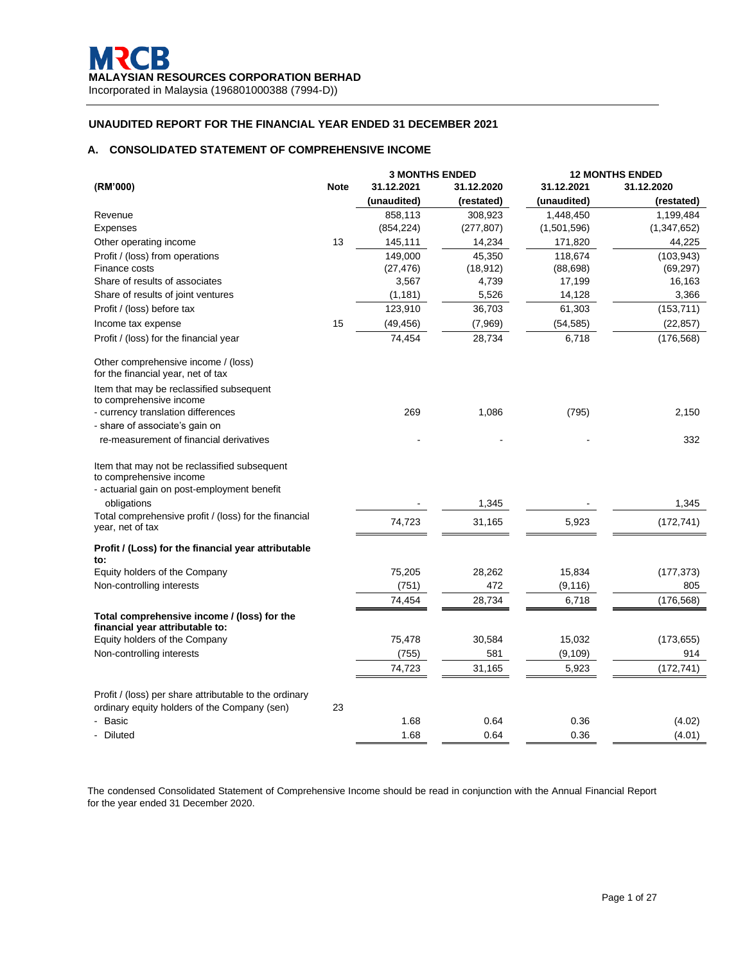# **A. CONSOLIDATED STATEMENT OF COMPREHENSIVE INCOME**

|                                                                                                        |             | <b>3 MONTHS ENDED</b> |            | <b>12 MONTHS ENDED</b> |               |  |
|--------------------------------------------------------------------------------------------------------|-------------|-----------------------|------------|------------------------|---------------|--|
| (RM'000)                                                                                               | <b>Note</b> | 31.12.2021            | 31.12.2020 | 31.12.2021             | 31.12.2020    |  |
|                                                                                                        |             | (unaudited)           | (restated) | (unaudited)            | (restated)    |  |
| Revenue                                                                                                |             | 858,113               | 308,923    | 1,448,450              | 1,199,484     |  |
| Expenses                                                                                               |             | (854, 224)            | (277, 807) | (1,501,596)            | (1, 347, 652) |  |
| Other operating income                                                                                 | 13          | 145,111               | 14,234     | 171,820                | 44,225        |  |
| Profit / (loss) from operations                                                                        |             | 149.000               | 45.350     | 118.674                | (103, 943)    |  |
| Finance costs                                                                                          |             | (27, 476)             | (18, 912)  | (88, 698)              | (69, 297)     |  |
| Share of results of associates                                                                         |             | 3,567                 | 4,739      | 17,199                 | 16,163        |  |
| Share of results of joint ventures                                                                     |             | (1, 181)              | 5,526      | 14,128                 | 3,366         |  |
| Profit / (loss) before tax                                                                             |             | 123,910               | 36,703     | 61,303                 | (153, 711)    |  |
| Income tax expense                                                                                     | 15          | (49, 456)             | (7,969)    | (54, 585)              | (22, 857)     |  |
| Profit / (loss) for the financial year                                                                 |             | 74,454                | 28,734     | 6,718                  | (176, 568)    |  |
| Other comprehensive income / (loss)<br>for the financial year, net of tax                              |             |                       |            |                        |               |  |
| Item that may be reclassified subsequent<br>to comprehensive income                                    |             |                       |            |                        |               |  |
| - currency translation differences                                                                     |             | 269                   | 1,086      | (795)                  | 2,150         |  |
| - share of associate's gain on                                                                         |             |                       |            |                        |               |  |
| re-measurement of financial derivatives                                                                |             |                       |            |                        | 332           |  |
| Item that may not be reclassified subsequent<br>to comprehensive income                                |             |                       |            |                        |               |  |
| - actuarial gain on post-employment benefit<br>obligations                                             |             |                       | 1,345      |                        | 1,345         |  |
| Total comprehensive profit / (loss) for the financial<br>year, net of tax                              |             | 74,723                | 31,165     | 5,923                  | (172, 741)    |  |
| Profit / (Loss) for the financial year attributable<br>to:                                             |             |                       |            |                        |               |  |
| Equity holders of the Company                                                                          |             | 75,205                | 28,262     | 15,834                 | (177, 373)    |  |
| Non-controlling interests                                                                              |             | (751)                 | 472        | (9, 116)               | 805           |  |
|                                                                                                        |             | 74,454                | 28,734     | 6,718                  | (176, 568)    |  |
| Total comprehensive income / (loss) for the<br>financial year attributable to:                         |             |                       |            |                        |               |  |
| Equity holders of the Company                                                                          |             | 75,478                | 30,584     | 15,032                 | (173, 655)    |  |
| Non-controlling interests                                                                              |             | (755)                 | 581        | (9, 109)               | 914           |  |
|                                                                                                        |             | 74,723                | 31,165     | 5,923                  | (172, 741)    |  |
| Profit / (loss) per share attributable to the ordinary<br>ordinary equity holders of the Company (sen) | 23          |                       |            |                        |               |  |
| - Basic                                                                                                |             | 1.68                  | 0.64       | 0.36                   | (4.02)        |  |
| - Diluted                                                                                              |             | 1.68                  | 0.64       | 0.36                   | (4.01)        |  |

The condensed Consolidated Statement of Comprehensive Income should be read in conjunction with the Annual Financial Report for the year ended 31 December 2020.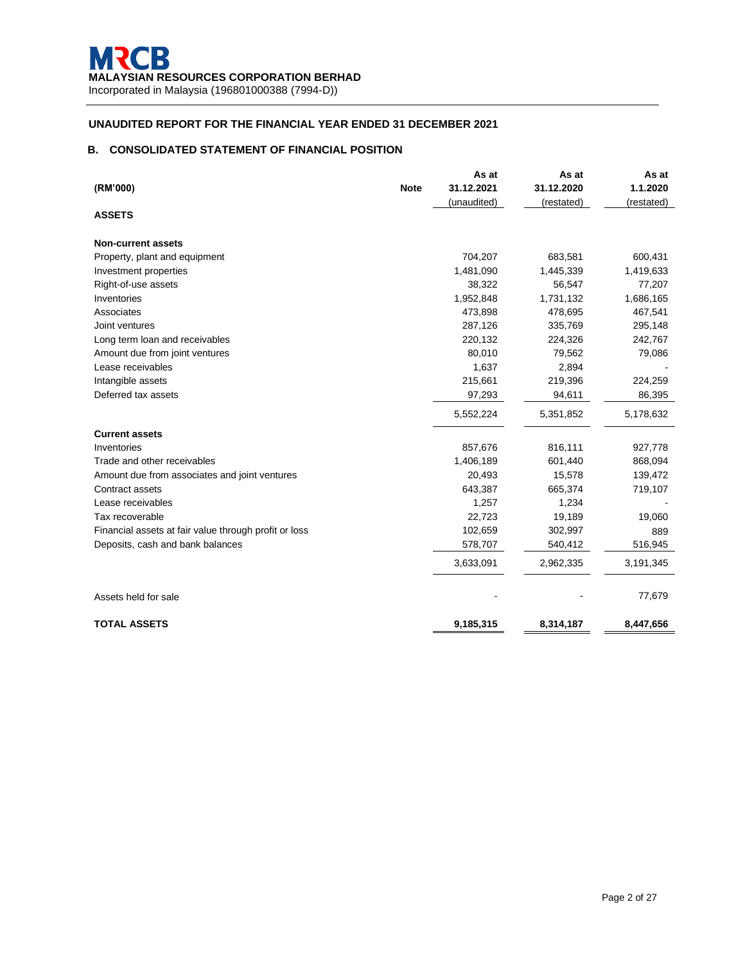# **B. CONSOLIDATED STATEMENT OF FINANCIAL POSITION**

|                                                       |             | As at       | As at      | As at      |
|-------------------------------------------------------|-------------|-------------|------------|------------|
| (RM'000)                                              | <b>Note</b> | 31.12.2021  | 31.12.2020 | 1.1.2020   |
|                                                       |             | (unaudited) | (restated) | (restated) |
| <b>ASSETS</b>                                         |             |             |            |            |
| <b>Non-current assets</b>                             |             |             |            |            |
| Property, plant and equipment                         |             | 704,207     | 683,581    | 600,431    |
| Investment properties                                 |             | 1,481,090   | 1,445,339  | 1,419,633  |
| Right-of-use assets                                   |             | 38,322      | 56,547     | 77,207     |
| Inventories                                           |             | 1,952,848   | 1,731,132  | 1,686,165  |
| Associates                                            |             | 473,898     | 478,695    | 467,541    |
| Joint ventures                                        |             | 287,126     | 335,769    | 295,148    |
| Long term loan and receivables                        |             | 220,132     | 224,326    | 242,767    |
| Amount due from joint ventures                        |             | 80,010      | 79,562     | 79,086     |
| Lease receivables                                     |             | 1,637       | 2,894      |            |
| Intangible assets                                     |             | 215,661     | 219,396    | 224,259    |
| Deferred tax assets                                   |             | 97,293      | 94,611     | 86,395     |
|                                                       |             | 5,552,224   | 5,351,852  | 5,178,632  |
| <b>Current assets</b>                                 |             |             |            |            |
| Inventories                                           |             | 857,676     | 816,111    | 927,778    |
| Trade and other receivables                           |             | 1,406,189   | 601,440    | 868,094    |
| Amount due from associates and joint ventures         |             | 20,493      | 15,578     | 139,472    |
| Contract assets                                       |             | 643,387     | 665,374    | 719,107    |
| Lease receivables                                     |             | 1,257       | 1,234      |            |
| Tax recoverable                                       |             | 22,723      | 19,189     | 19,060     |
| Financial assets at fair value through profit or loss |             | 102,659     | 302,997    | 889        |
| Deposits, cash and bank balances                      |             | 578,707     | 540,412    | 516,945    |
|                                                       |             | 3,633,091   | 2,962,335  | 3,191,345  |
|                                                       |             |             |            |            |
| Assets held for sale                                  |             |             |            | 77,679     |
| <b>TOTAL ASSETS</b>                                   |             | 9,185,315   | 8,314,187  | 8,447,656  |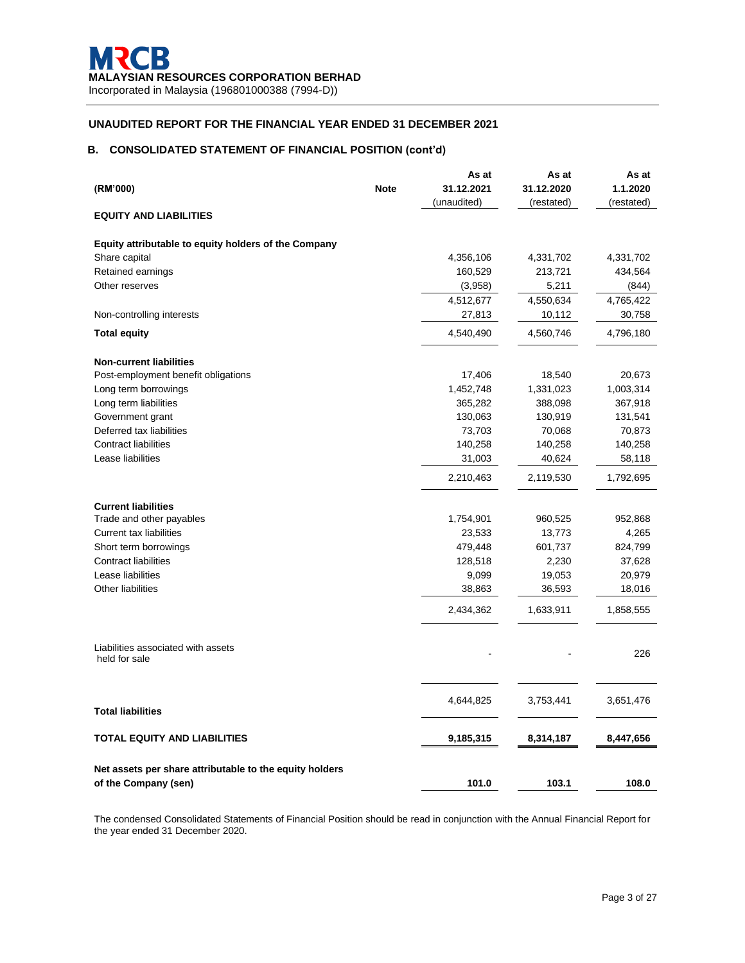# **B. CONSOLIDATED STATEMENT OF FINANCIAL POSITION (cont'd)**

|                                                         |             | As at       | As at      | As at      |
|---------------------------------------------------------|-------------|-------------|------------|------------|
| (RM'000)                                                | <b>Note</b> | 31.12.2021  | 31.12.2020 | 1.1.2020   |
|                                                         |             | (unaudited) | (restated) | (restated) |
| <b>EQUITY AND LIABILITIES</b>                           |             |             |            |            |
| Equity attributable to equity holders of the Company    |             |             |            |            |
| Share capital                                           |             | 4,356,106   | 4,331,702  | 4,331,702  |
| Retained earnings                                       |             | 160,529     | 213,721    | 434,564    |
| Other reserves                                          |             | (3,958)     | 5,211      | (844)      |
|                                                         |             | 4,512,677   | 4,550,634  | 4,765,422  |
| Non-controlling interests                               |             | 27,813      | 10,112     | 30,758     |
| <b>Total equity</b>                                     |             | 4,540,490   | 4,560,746  | 4,796,180  |
| <b>Non-current liabilities</b>                          |             |             |            |            |
| Post-employment benefit obligations                     |             | 17,406      | 18,540     | 20,673     |
| Long term borrowings                                    |             | 1,452,748   | 1,331,023  | 1,003,314  |
| Long term liabilities                                   |             | 365,282     | 388,098    | 367,918    |
| Government grant                                        |             | 130,063     | 130,919    | 131,541    |
| Deferred tax liabilities                                |             | 73,703      | 70,068     | 70,873     |
| <b>Contract liabilities</b>                             |             | 140,258     | 140,258    | 140,258    |
| Lease liabilities                                       |             | 31,003      | 40,624     | 58,118     |
|                                                         |             | 2,210,463   | 2,119,530  | 1,792,695  |
| <b>Current liabilities</b>                              |             |             |            |            |
| Trade and other payables                                |             | 1,754,901   | 960,525    | 952,868    |
| Current tax liabilities                                 |             | 23,533      | 13,773     | 4,265      |
| Short term borrowings                                   |             | 479,448     | 601,737    | 824,799    |
| <b>Contract liabilities</b>                             |             | 128,518     | 2,230      | 37,628     |
| Lease liabilities                                       |             | 9,099       | 19,053     | 20,979     |
| <b>Other liabilities</b>                                |             | 38,863      | 36,593     | 18,016     |
|                                                         |             | 2,434,362   | 1,633,911  | 1,858,555  |
| Liabilities associated with assets                      |             |             |            | 226        |
| held for sale                                           |             |             |            |            |
| <b>Total liabilities</b>                                |             | 4,644,825   | 3,753,441  | 3,651,476  |
| TOTAL EQUITY AND LIABILITIES                            |             | 9,185,315   | 8,314,187  | 8,447,656  |
| Net assets per share attributable to the equity holders |             |             |            |            |
| of the Company (sen)                                    |             | 101.0       | 103.1      | 108.0      |

The condensed Consolidated Statements of Financial Position should be read in conjunction with the Annual Financial Report for the year ended 31 December 2020.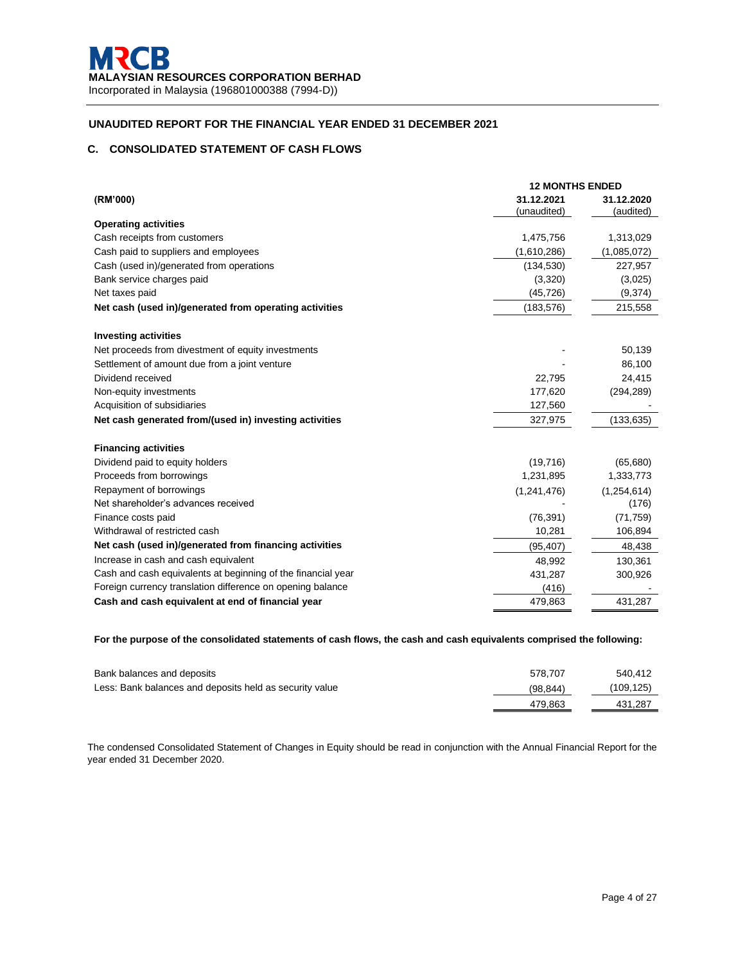# **C. CONSOLIDATED STATEMENT OF CASH FLOWS**

|                                                              | <b>12 MONTHS ENDED</b>    |                         |  |  |
|--------------------------------------------------------------|---------------------------|-------------------------|--|--|
| (RM'000)                                                     | 31.12.2021<br>(unaudited) | 31.12.2020<br>(audited) |  |  |
| <b>Operating activities</b>                                  |                           |                         |  |  |
| Cash receipts from customers                                 | 1,475,756                 | 1,313,029               |  |  |
| Cash paid to suppliers and employees                         | (1,610,286)               | (1,085,072)             |  |  |
| Cash (used in)/generated from operations                     | (134, 530)                | 227,957                 |  |  |
| Bank service charges paid                                    | (3,320)                   | (3,025)                 |  |  |
| Net taxes paid                                               | (45, 726)                 | (9,374)                 |  |  |
| Net cash (used in)/generated from operating activities       | (183, 576)                | 215,558                 |  |  |
| <b>Investing activities</b>                                  |                           |                         |  |  |
| Net proceeds from divestment of equity investments           |                           | 50,139                  |  |  |
| Settlement of amount due from a joint venture                |                           | 86,100                  |  |  |
| Dividend received                                            | 22,795                    | 24,415                  |  |  |
| Non-equity investments                                       | 177,620                   | (294, 289)              |  |  |
| Acquisition of subsidiaries                                  | 127,560                   |                         |  |  |
| Net cash generated from/(used in) investing activities       | 327,975                   | (133, 635)              |  |  |
| <b>Financing activities</b>                                  |                           |                         |  |  |
| Dividend paid to equity holders                              | (19,716)                  | (65, 680)               |  |  |
| Proceeds from borrowings                                     | 1,231,895                 | 1,333,773               |  |  |
| Repayment of borrowings                                      | (1, 241, 476)             | (1,254,614)             |  |  |
| Net shareholder's advances received                          |                           | (176)                   |  |  |
| Finance costs paid                                           | (76, 391)                 | (71, 759)               |  |  |
| Withdrawal of restricted cash                                | 10,281                    | 106,894                 |  |  |
| Net cash (used in)/generated from financing activities       | (95, 407)                 | 48,438                  |  |  |
| Increase in cash and cash equivalent                         | 48,992                    | 130,361                 |  |  |
| Cash and cash equivalents at beginning of the financial year | 431,287                   | 300,926                 |  |  |
| Foreign currency translation difference on opening balance   | (416)                     |                         |  |  |
| Cash and cash equivalent at end of financial year            | 479,863                   | 431,287                 |  |  |

### **For the purpose of the consolidated statements of cash flows, the cash and cash equivalents comprised the following:**

| Bank balances and deposits                              | 578.707   | 540.412   |
|---------------------------------------------------------|-----------|-----------|
| Less: Bank balances and deposits held as security value | (98, 844) | (109.125) |
|                                                         | 479.863   | 431,287   |

The condensed Consolidated Statement of Changes in Equity should be read in conjunction with the Annual Financial Report for the year ended 31 December 2020.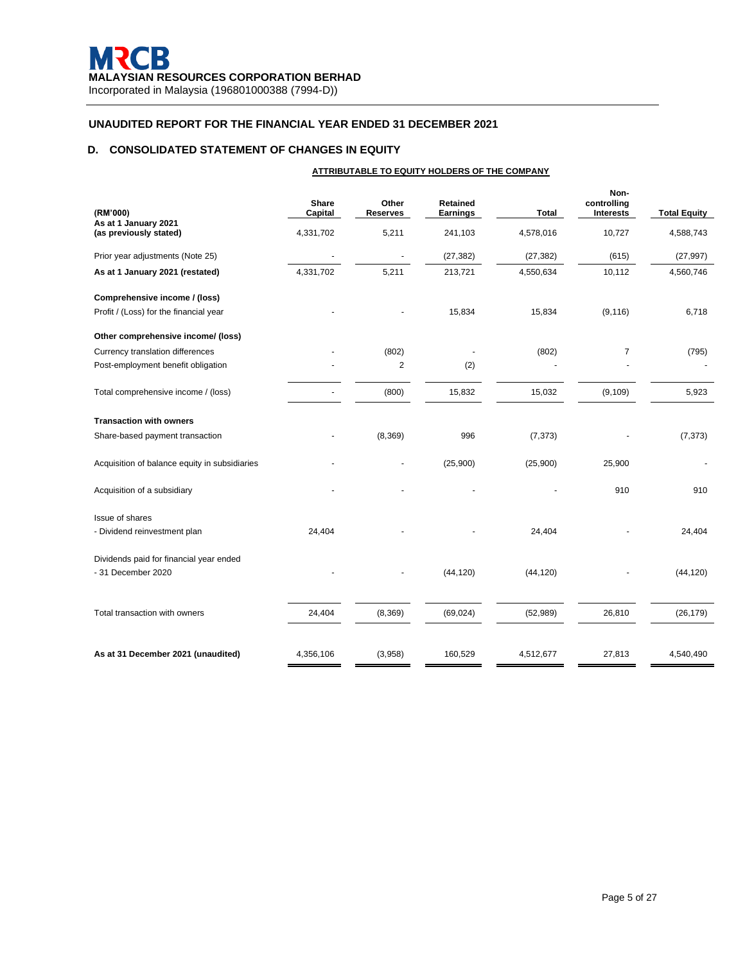# **D. CONSOLIDATED STATEMENT OF CHANGES IN EQUITY**

|                                                | ATTRIBUTABLE TO EQUITY HOLDERS OF THE COMPANY |                          |                      |           |                                         |                     |
|------------------------------------------------|-----------------------------------------------|--------------------------|----------------------|-----------|-----------------------------------------|---------------------|
| (RM'000)                                       | Share<br>Capital                              | Other<br><b>Reserves</b> | Retained<br>Earnings | Total     | Non-<br>controlling<br><b>Interests</b> | <b>Total Equity</b> |
| As at 1 January 2021<br>(as previously stated) | 4,331,702                                     | 5,211                    | 241,103              | 4,578,016 | 10,727                                  | 4,588,743           |
| Prior year adjustments (Note 25)               |                                               |                          | (27, 382)            | (27, 382) | (615)                                   | (27, 997)           |
| As at 1 January 2021 (restated)                | 4,331,702                                     | 5,211                    | 213,721              | 4,550,634 | 10,112                                  | 4,560,746           |
| Comprehensive income / (loss)                  |                                               |                          |                      |           |                                         |                     |
| Profit / (Loss) for the financial year         |                                               |                          | 15,834               | 15,834    | (9, 116)                                | 6,718               |
| Other comprehensive income/ (loss)             |                                               |                          |                      |           |                                         |                     |
| Currency translation differences               |                                               | (802)                    |                      | (802)     | 7                                       | (795)               |
| Post-employment benefit obligation             |                                               | $\overline{\mathbf{c}}$  | (2)                  |           |                                         |                     |
| Total comprehensive income / (loss)            |                                               | (800)                    | 15,832               | 15,032    | (9, 109)                                | 5,923               |
| <b>Transaction with owners</b>                 |                                               |                          |                      |           |                                         |                     |
| Share-based payment transaction                |                                               | (8,369)                  | 996                  | (7, 373)  |                                         | (7, 373)            |
| Acquisition of balance equity in subsidiaries  |                                               |                          | (25,900)             | (25,900)  | 25,900                                  |                     |
| Acquisition of a subsidiary                    |                                               |                          |                      |           | 910                                     | 910                 |
| Issue of shares                                |                                               |                          |                      |           |                                         |                     |
| - Dividend reinvestment plan                   | 24,404                                        |                          |                      | 24,404    |                                         | 24,404              |
| Dividends paid for financial year ended        |                                               |                          |                      |           |                                         |                     |
| - 31 December 2020                             |                                               |                          | (44, 120)            | (44, 120) |                                         | (44, 120)           |
| Total transaction with owners                  | 24,404                                        | (8,369)                  | (69, 024)            | (52, 989) | 26,810                                  | (26, 179)           |
| As at 31 December 2021 (unaudited)             | 4,356,106                                     | (3,958)                  | 160,529              | 4,512,677 | 27,813                                  | 4,540,490           |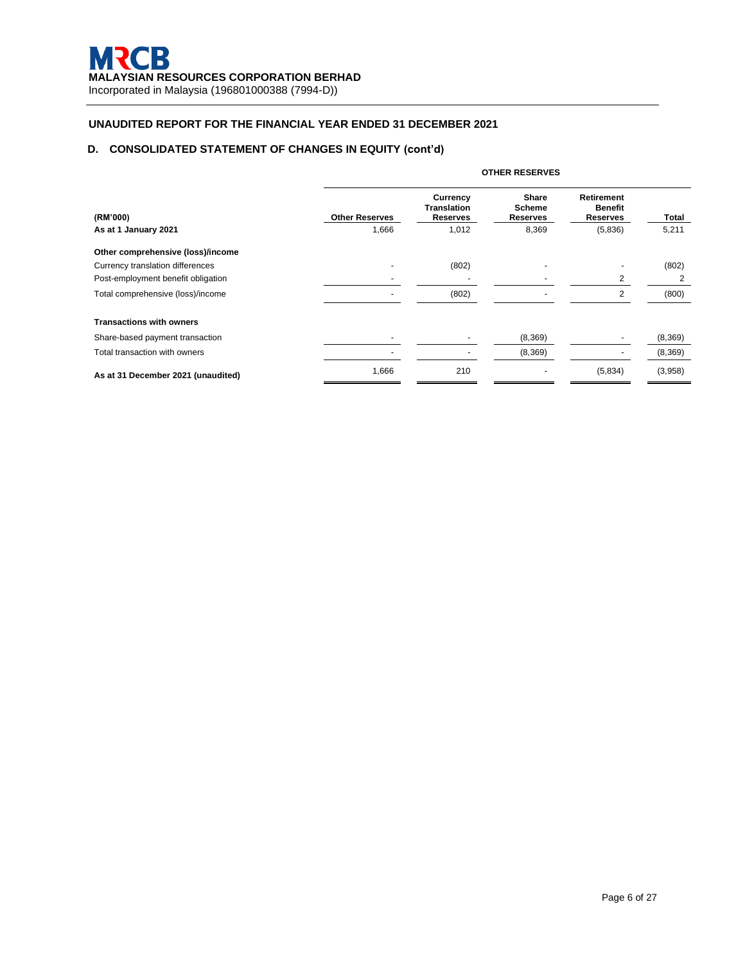# **D. CONSOLIDATED STATEMENT OF CHANGES IN EQUITY (cont'd)**

|                                    |                       | <b>OTHER RESERVES</b>                             |                                    |                                                 |         |  |  |  |
|------------------------------------|-----------------------|---------------------------------------------------|------------------------------------|-------------------------------------------------|---------|--|--|--|
| (RM'000)                           | <b>Other Reserves</b> | Currency<br><b>Translation</b><br><b>Reserves</b> | <b>Share</b><br>Scheme<br>Reserves | <b>Retirement</b><br><b>Benefit</b><br>Reserves | Total   |  |  |  |
| As at 1 January 2021               | 1,666                 | 1,012                                             | 8,369                              | (5,836)                                         | 5,211   |  |  |  |
| Other comprehensive (loss)/income  |                       |                                                   |                                    |                                                 |         |  |  |  |
| Currency translation differences   |                       | (802)                                             |                                    |                                                 | (802)   |  |  |  |
| Post-employment benefit obligation |                       |                                                   |                                    | 2                                               | 2       |  |  |  |
| Total comprehensive (loss)/income  |                       | (802)                                             |                                    | 2                                               | (800)   |  |  |  |
| <b>Transactions with owners</b>    |                       |                                                   |                                    |                                                 |         |  |  |  |
| Share-based payment transaction    |                       |                                                   | (8,369)                            | $\blacksquare$                                  | (8,369) |  |  |  |
| Total transaction with owners      |                       |                                                   | (8,369)                            |                                                 | (8,369) |  |  |  |
| As at 31 December 2021 (unaudited) | 1,666                 | 210                                               |                                    | (5,834)                                         | (3,958) |  |  |  |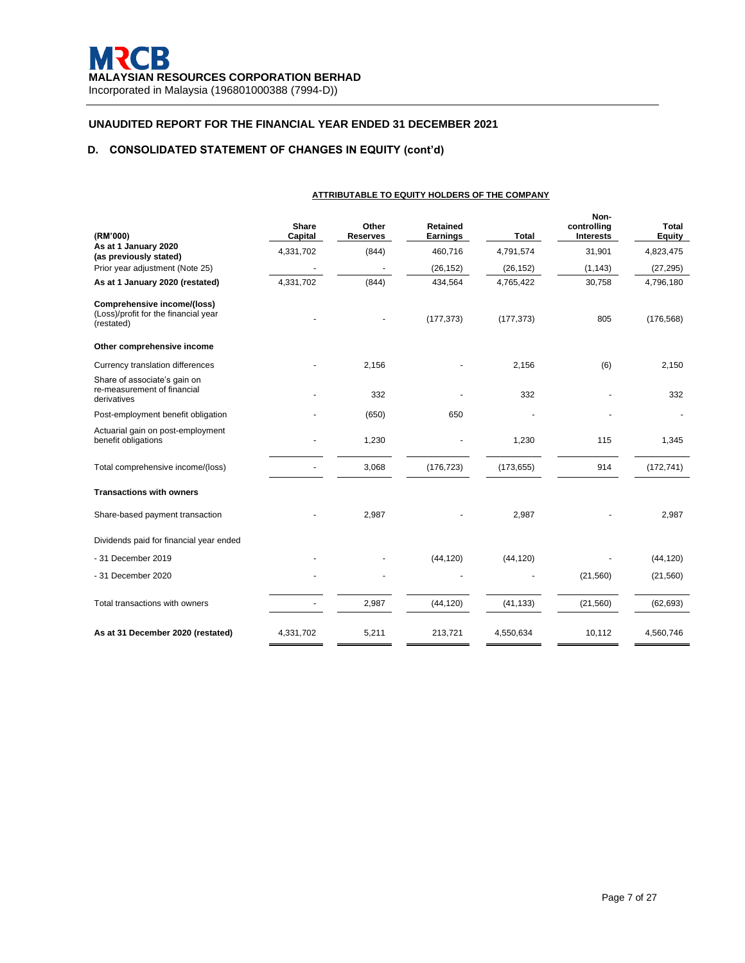# **D. CONSOLIDATED STATEMENT OF CHANGES IN EQUITY (cont'd)**

| (RM'000)                                                                          | Share<br>Capital | Other<br><b>Reserves</b> | <b>Retained</b><br><b>Earnings</b> | <b>Total</b> | Non-<br>controlling<br><b>Interests</b> | <b>Total</b><br><b>Equity</b> |
|-----------------------------------------------------------------------------------|------------------|--------------------------|------------------------------------|--------------|-----------------------------------------|-------------------------------|
| As at 1 January 2020<br>(as previously stated)                                    | 4,331,702        | (844)                    | 460,716                            | 4,791,574    | 31,901                                  | 4,823,475                     |
| Prior year adjustment (Note 25)                                                   |                  |                          | (26, 152)                          | (26, 152)    | (1, 143)                                | (27, 295)                     |
| As at 1 January 2020 (restated)                                                   | 4,331,702        | (844)                    | 434,564                            | 4,765,422    | 30,758                                  | 4,796,180                     |
| Comprehensive income/(loss)<br>(Loss)/profit for the financial year<br>(restated) |                  |                          | (177, 373)                         | (177, 373)   | 805                                     | (176, 568)                    |
| Other comprehensive income                                                        |                  |                          |                                    |              |                                         |                               |
| Currency translation differences                                                  |                  | 2,156                    |                                    | 2,156        | (6)                                     | 2,150                         |
| Share of associate's gain on<br>re-measurement of financial<br>derivatives        |                  | 332                      |                                    | 332          |                                         | 332                           |
| Post-employment benefit obligation                                                |                  | (650)                    | 650                                |              |                                         |                               |
| Actuarial gain on post-employment<br>benefit obligations                          |                  | 1,230                    |                                    | 1,230        | 115                                     | 1,345                         |
| Total comprehensive income/(loss)                                                 |                  | 3,068                    | (176, 723)                         | (173, 655)   | 914                                     | (172, 741)                    |
| <b>Transactions with owners</b>                                                   |                  |                          |                                    |              |                                         |                               |
| Share-based payment transaction                                                   |                  | 2,987                    |                                    | 2,987        |                                         | 2,987                         |
| Dividends paid for financial year ended                                           |                  |                          |                                    |              |                                         |                               |
| - 31 December 2019                                                                |                  |                          | (44, 120)                          | (44, 120)    |                                         | (44, 120)                     |
| - 31 December 2020                                                                |                  |                          |                                    |              | (21, 560)                               | (21, 560)                     |
| Total transactions with owners                                                    |                  | 2,987                    | (44, 120)                          | (41, 133)    | (21, 560)                               | (62, 693)                     |
| As at 31 December 2020 (restated)                                                 | 4,331,702        | 5,211                    | 213,721                            | 4,550,634    | 10,112                                  | 4,560,746                     |

**ATTRIBUTABLE TO EQUITY HOLDERS OF THE COMPANY**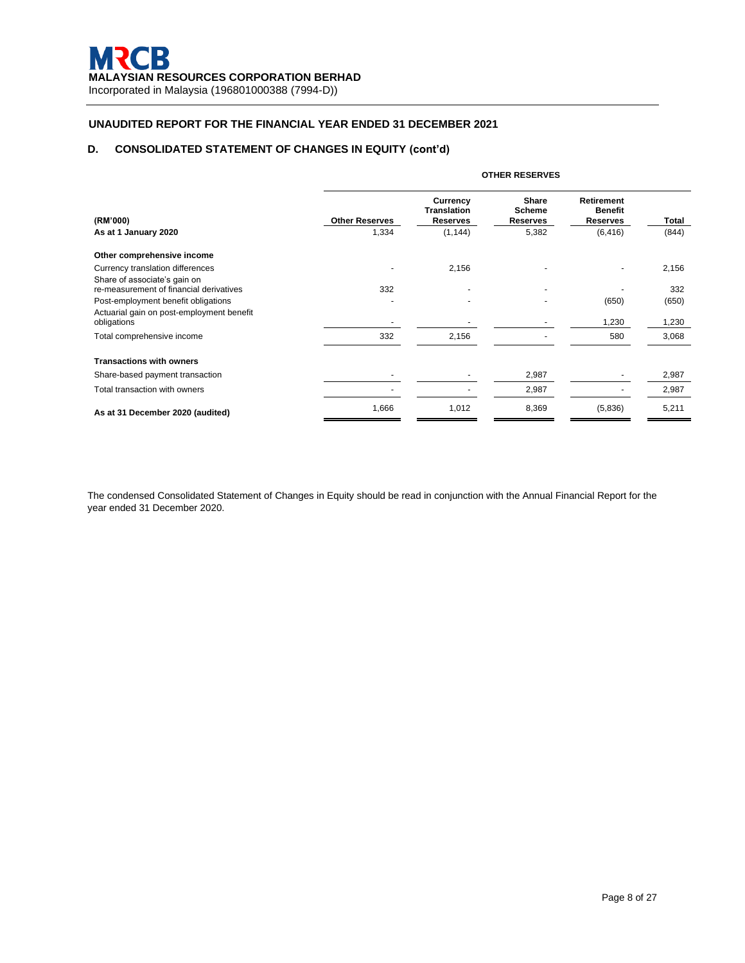# **D. CONSOLIDATED STATEMENT OF CHANGES IN EQUITY (cont'd)**

|                                                                         | <b>OTHER RESERVES</b> |                                                          |                                           |                                                 |       |  |  |
|-------------------------------------------------------------------------|-----------------------|----------------------------------------------------------|-------------------------------------------|-------------------------------------------------|-------|--|--|
| (RM'000)                                                                | <b>Other Reserves</b> | <b>Currency</b><br><b>Translation</b><br><b>Reserves</b> | <b>Share</b><br><b>Scheme</b><br>Reserves | <b>Retirement</b><br><b>Benefit</b><br>Reserves | Total |  |  |
| As at 1 January 2020                                                    | 1,334                 | (1, 144)                                                 | 5,382                                     | (6, 416)                                        | (844) |  |  |
| Other comprehensive income                                              |                       |                                                          |                                           |                                                 |       |  |  |
| Currency translation differences                                        |                       | 2,156                                                    |                                           |                                                 | 2,156 |  |  |
| Share of associate's gain on<br>re-measurement of financial derivatives | 332                   |                                                          |                                           |                                                 | 332   |  |  |
| Post-employment benefit obligations                                     |                       |                                                          |                                           | (650)                                           | (650) |  |  |
| Actuarial gain on post-employment benefit<br>obligations                |                       |                                                          |                                           | 1,230                                           | 1,230 |  |  |
| Total comprehensive income                                              | 332                   | 2,156                                                    |                                           | 580                                             | 3,068 |  |  |
| <b>Transactions with owners</b>                                         |                       |                                                          |                                           |                                                 |       |  |  |
| Share-based payment transaction                                         |                       |                                                          | 2,987                                     |                                                 | 2,987 |  |  |
| Total transaction with owners                                           |                       |                                                          | 2,987                                     |                                                 | 2,987 |  |  |
| As at 31 December 2020 (audited)                                        | 1,666                 | 1,012                                                    | 8,369                                     | (5,836)                                         | 5,211 |  |  |

The condensed Consolidated Statement of Changes in Equity should be read in conjunction with the Annual Financial Report for the year ended 31 December 2020.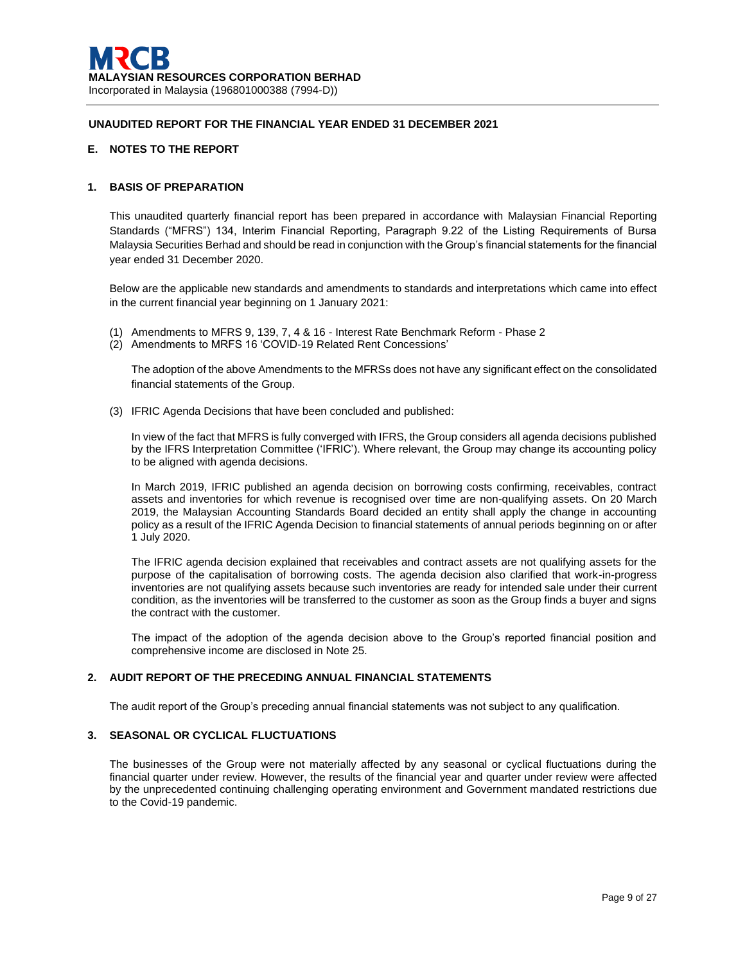# **E. NOTES TO THE REPORT**

## **1. BASIS OF PREPARATION**

This unaudited quarterly financial report has been prepared in accordance with Malaysian Financial Reporting Standards ("MFRS") 134, Interim Financial Reporting, Paragraph 9.22 of the Listing Requirements of Bursa Malaysia Securities Berhad and should be read in conjunction with the Group's financial statements for the financial year ended 31 December 2020.

Below are the applicable new standards and amendments to standards and interpretations which came into effect in the current financial year beginning on 1 January 2021:

- (1) Amendments to MFRS 9, 139, 7, 4 & 16 Interest Rate Benchmark Reform Phase 2
- (2) Amendments to MRFS 16 'COVID-19 Related Rent Concessions'

The adoption of the above Amendments to the MFRSs does not have any significant effect on the consolidated financial statements of the Group.

(3) IFRIC Agenda Decisions that have been concluded and published:

In view of the fact that MFRS is fully converged with IFRS, the Group considers all agenda decisions published by the IFRS Interpretation Committee ('IFRIC'). Where relevant, the Group may change its accounting policy to be aligned with agenda decisions.

In March 2019, IFRIC published an agenda decision on borrowing costs confirming, receivables, contract assets and inventories for which revenue is recognised over time are non-qualifying assets. On 20 March 2019, the Malaysian Accounting Standards Board decided an entity shall apply the change in accounting policy as a result of the IFRIC Agenda Decision to financial statements of annual periods beginning on or after 1 July 2020.

The IFRIC agenda decision explained that receivables and contract assets are not qualifying assets for the purpose of the capitalisation of borrowing costs. The agenda decision also clarified that work-in-progress inventories are not qualifying assets because such inventories are ready for intended sale under their current condition, as the inventories will be transferred to the customer as soon as the Group finds a buyer and signs the contract with the customer.

The impact of the adoption of the agenda decision above to the Group's reported financial position and comprehensive income are disclosed in Note 25.

# **2. AUDIT REPORT OF THE PRECEDING ANNUAL FINANCIAL STATEMENTS**

The audit report of the Group's preceding annual financial statements was not subject to any qualification.

## **3. SEASONAL OR CYCLICAL FLUCTUATIONS**

The businesses of the Group were not materially affected by any seasonal or cyclical fluctuations during the financial quarter under review. However, the results of the financial year and quarter under review were affected by the unprecedented continuing challenging operating environment and Government mandated restrictions due to the Covid-19 pandemic.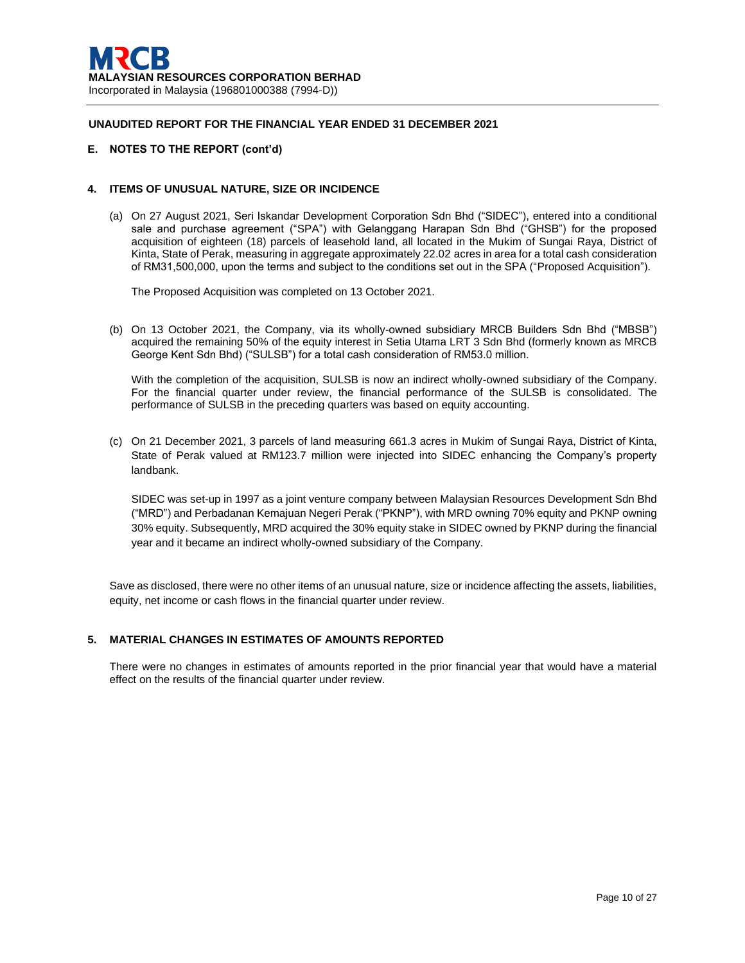### **E. NOTES TO THE REPORT (cont'd)**

### **4. ITEMS OF UNUSUAL NATURE, SIZE OR INCIDENCE**

(a) On 27 August 2021, Seri Iskandar Development Corporation Sdn Bhd ("SIDEC"), entered into a conditional sale and purchase agreement ("SPA") with Gelanggang Harapan Sdn Bhd ("GHSB") for the proposed acquisition of eighteen (18) parcels of leasehold land, all located in the Mukim of Sungai Raya, District of Kinta, State of Perak, measuring in aggregate approximately 22.02 acres in area for a total cash consideration of RM31,500,000, upon the terms and subject to the conditions set out in the SPA ("Proposed Acquisition").

The Proposed Acquisition was completed on 13 October 2021.

(b) On 13 October 2021, the Company, via its wholly-owned subsidiary MRCB Builders Sdn Bhd ("MBSB") acquired the remaining 50% of the equity interest in Setia Utama LRT 3 Sdn Bhd (formerly known as MRCB George Kent Sdn Bhd) ("SULSB") for a total cash consideration of RM53.0 million.

With the completion of the acquisition, SULSB is now an indirect wholly-owned subsidiary of the Company. For the financial quarter under review, the financial performance of the SULSB is consolidated. The performance of SULSB in the preceding quarters was based on equity accounting.

(c) On 21 December 2021, 3 parcels of land measuring 661.3 acres in Mukim of Sungai Raya, District of Kinta, State of Perak valued at RM123.7 million were injected into SIDEC enhancing the Company's property landbank.

SIDEC was set-up in 1997 as a joint venture company between Malaysian Resources Development Sdn Bhd ("MRD") and Perbadanan Kemajuan Negeri Perak ("PKNP"), with MRD owning 70% equity and PKNP owning 30% equity. Subsequently, MRD acquired the 30% equity stake in SIDEC owned by PKNP during the financial year and it became an indirect wholly-owned subsidiary of the Company.

Save as disclosed, there were no other items of an unusual nature, size or incidence affecting the assets, liabilities, equity, net income or cash flows in the financial quarter under review.

## **5. MATERIAL CHANGES IN ESTIMATES OF AMOUNTS REPORTED**

There were no changes in estimates of amounts reported in the prior financial year that would have a material effect on the results of the financial quarter under review.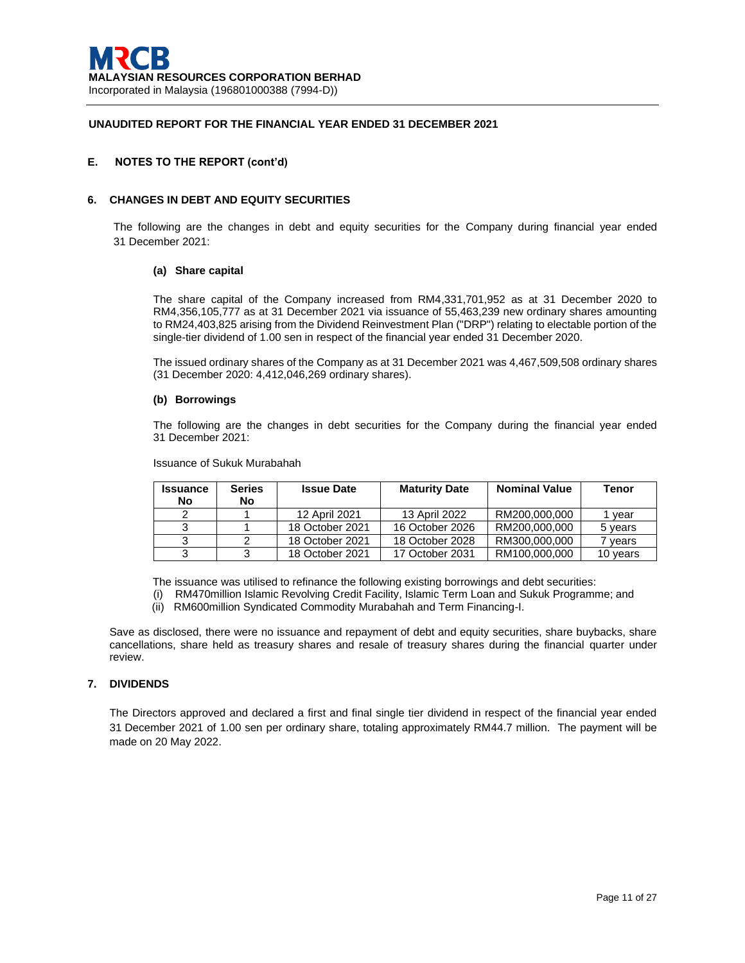## **E. NOTES TO THE REPORT (cont'd)**

### **6. CHANGES IN DEBT AND EQUITY SECURITIES**

The following are the changes in debt and equity securities for the Company during financial year ended 31 December 2021:

#### **(a) Share capital**

The share capital of the Company increased from RM4,331,701,952 as at 31 December 2020 to RM4,356,105,777 as at 31 December 2021 via issuance of 55,463,239 new ordinary shares amounting to RM24,403,825 arising from the Dividend Reinvestment Plan ("DRP") relating to electable portion of the single-tier dividend of 1.00 sen in respect of the financial year ended 31 December 2020.

The issued ordinary shares of the Company as at 31 December 2021 was 4,467,509,508 ordinary shares (31 December 2020: 4,412,046,269 ordinary shares).

#### **(b) Borrowings**

The following are the changes in debt securities for the Company during the financial year ended 31 December 2021:

Issuance of Sukuk Murabahah

| <b>Issuance</b> | <b>Series</b> | <b>Issue Date</b> | <b>Maturity Date</b> | <b>Nominal Value</b> | <b>Tenor</b> |
|-----------------|---------------|-------------------|----------------------|----------------------|--------------|
| No              | No.           |                   |                      |                      |              |
| າ               |               | 12 April 2021     | 13 April 2022        | RM200.000.000        | l vear       |
|                 |               | 18 October 2021   | 16 October 2026      | RM200.000.000        | 5 years      |
|                 |               | 18 October 2021   | 18 October 2028      | RM300,000,000        | vears        |
| っ               |               | 18 October 2021   | 17 October 2031      | RM100.000.000        | 10 years     |

The issuance was utilised to refinance the following existing borrowings and debt securities:

- (i) RM470million Islamic Revolving Credit Facility, Islamic Term Loan and Sukuk Programme; and
- (ii) RM600million Syndicated Commodity Murabahah and Term Financing-I.

Save as disclosed, there were no issuance and repayment of debt and equity securities, share buybacks, share cancellations, share held as treasury shares and resale of treasury shares during the financial quarter under review.

### **7. DIVIDENDS**

The Directors approved and declared a first and final single tier dividend in respect of the financial year ended 31 December 2021 of 1.00 sen per ordinary share, totaling approximately RM44.7 million. The payment will be made on 20 May 2022.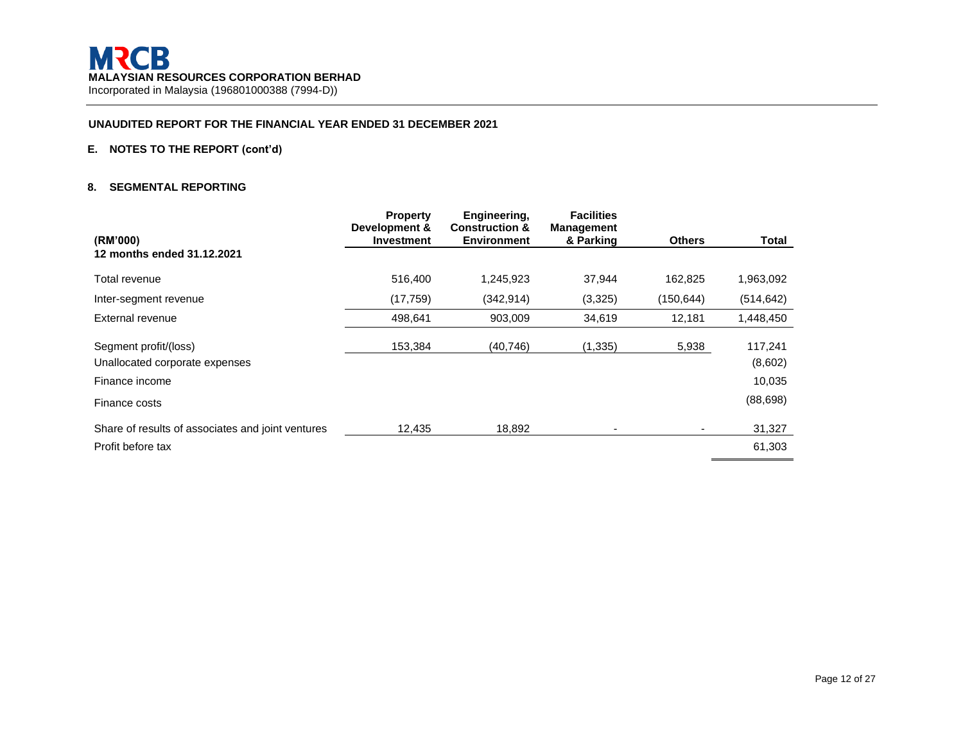# **E. NOTES TO THE REPORT (cont'd)**

### **8. SEGMENTAL REPORTING**

| (RM'000)                                          | <b>Property</b><br>Development &<br><b>Investment</b> | Engineering,<br><b>Construction &amp;</b><br><b>Environment</b> | <b>Facilities</b><br><b>Management</b><br>& Parking | <b>Others</b> | <b>Total</b> |
|---------------------------------------------------|-------------------------------------------------------|-----------------------------------------------------------------|-----------------------------------------------------|---------------|--------------|
| 12 months ended 31.12.2021                        |                                                       |                                                                 |                                                     |               |              |
| Total revenue                                     | 516,400                                               | 1,245,923                                                       | 37,944                                              | 162,825       | 1,963,092    |
| Inter-segment revenue                             | (17, 759)                                             | (342, 914)                                                      | (3,325)                                             | (150,644)     | (514, 642)   |
| External revenue                                  | 498,641                                               | 903,009                                                         | 34,619                                              | 12,181        | 1,448,450    |
| Segment profit/(loss)                             | 153,384                                               | (40, 746)                                                       | (1, 335)                                            | 5,938         | 117,241      |
| Unallocated corporate expenses                    |                                                       |                                                                 |                                                     |               | (8,602)      |
| Finance income                                    |                                                       |                                                                 |                                                     |               | 10,035       |
| Finance costs                                     |                                                       |                                                                 |                                                     |               | (88, 698)    |
| Share of results of associates and joint ventures | 12,435                                                | 18,892                                                          |                                                     |               | 31,327       |
| Profit before tax                                 |                                                       |                                                                 |                                                     |               | 61,303       |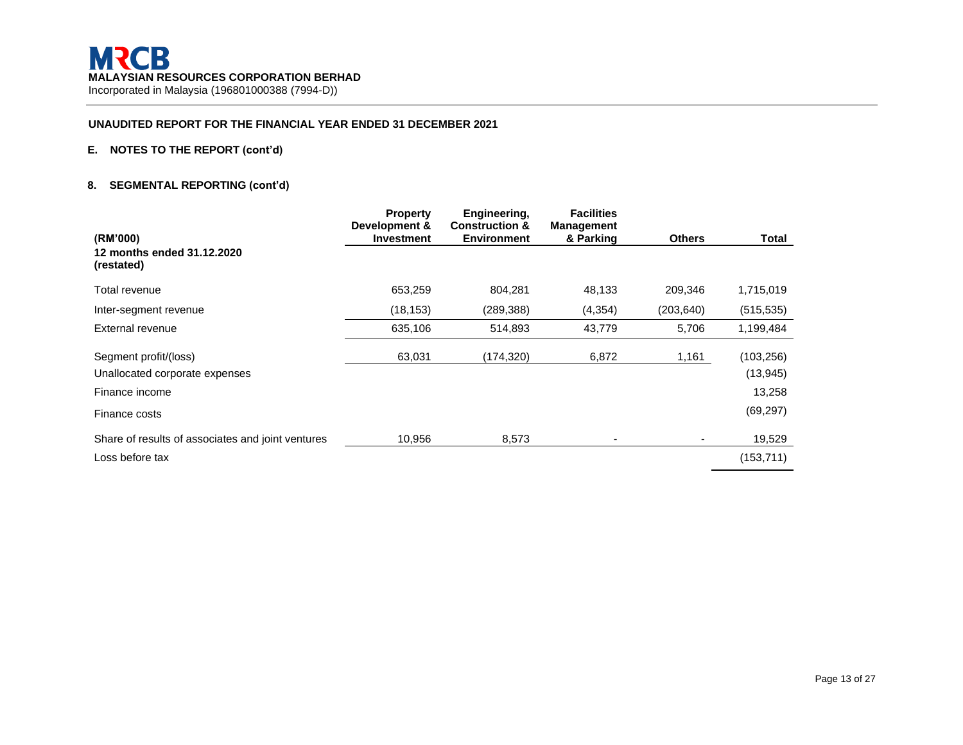# **E. NOTES TO THE REPORT (cont'd)**

# **8. SEGMENTAL REPORTING (cont'd)**

| (RM'000)                                          | <b>Property</b><br>Development &<br><b>Investment</b> | Engineering,<br><b>Construction &amp;</b><br><b>Environment</b> | <b>Facilities</b><br><b>Management</b><br>& Parking | <b>Others</b> | Total      |
|---------------------------------------------------|-------------------------------------------------------|-----------------------------------------------------------------|-----------------------------------------------------|---------------|------------|
| 12 months ended 31.12.2020<br>(restated)          |                                                       |                                                                 |                                                     |               |            |
| Total revenue                                     | 653,259                                               | 804,281                                                         | 48,133                                              | 209,346       | 1,715,019  |
| Inter-segment revenue                             | (18, 153)                                             | (289, 388)                                                      | (4, 354)                                            | (203, 640)    | (515, 535) |
| External revenue                                  | 635,106                                               | 514,893                                                         | 43,779                                              | 5,706         | 1,199,484  |
| Segment profit/(loss)                             | 63,031                                                | (174,320)                                                       | 6,872                                               | 1,161         | (103, 256) |
| Unallocated corporate expenses                    |                                                       |                                                                 |                                                     |               | (13, 945)  |
| Finance income                                    |                                                       |                                                                 |                                                     |               | 13,258     |
| Finance costs                                     |                                                       |                                                                 |                                                     |               | (69, 297)  |
| Share of results of associates and joint ventures | 10.956                                                | 8,573                                                           | $\overline{a}$                                      |               | 19,529     |
| Loss before tax                                   |                                                       |                                                                 |                                                     |               | (153, 711) |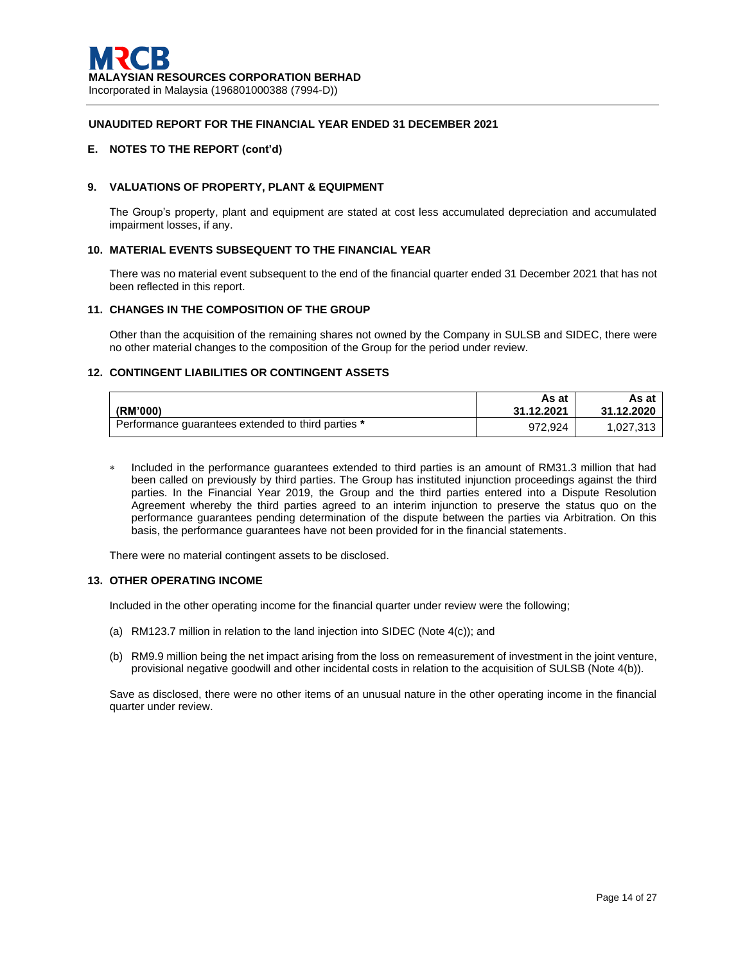## **E. NOTES TO THE REPORT (cont'd)**

## **9. VALUATIONS OF PROPERTY, PLANT & EQUIPMENT**

The Group's property, plant and equipment are stated at cost less accumulated depreciation and accumulated impairment losses, if any.

#### **10. MATERIAL EVENTS SUBSEQUENT TO THE FINANCIAL YEAR**

There was no material event subsequent to the end of the financial quarter ended 31 December 2021 that has not been reflected in this report.

## **11. CHANGES IN THE COMPOSITION OF THE GROUP**

Other than the acquisition of the remaining shares not owned by the Company in SULSB and SIDEC, there were no other material changes to the composition of the Group for the period under review.

### **12. CONTINGENT LIABILITIES OR CONTINGENT ASSETS**

| (RM'000)                                           | As at<br>31.12.2021 | As at<br>31.12.2020 |
|----------------------------------------------------|---------------------|---------------------|
| Performance guarantees extended to third parties * | 972.924             | 1,027,313           |

 Included in the performance guarantees extended to third parties is an amount of RM31.3 million that had been called on previously by third parties. The Group has instituted injunction proceedings against the third parties. In the Financial Year 2019, the Group and the third parties entered into a Dispute Resolution Agreement whereby the third parties agreed to an interim injunction to preserve the status quo on the performance guarantees pending determination of the dispute between the parties via Arbitration. On this basis, the performance guarantees have not been provided for in the financial statements.

There were no material contingent assets to be disclosed.

#### **13. OTHER OPERATING INCOME**

Included in the other operating income for the financial quarter under review were the following;

- (a) RM123.7 million in relation to the land injection into SIDEC (Note 4(c)); and
- (b) RM9.9 million being the net impact arising from the loss on remeasurement of investment in the joint venture, provisional negative goodwill and other incidental costs in relation to the acquisition of SULSB (Note 4(b)).

Save as disclosed, there were no other items of an unusual nature in the other operating income in the financial quarter under review.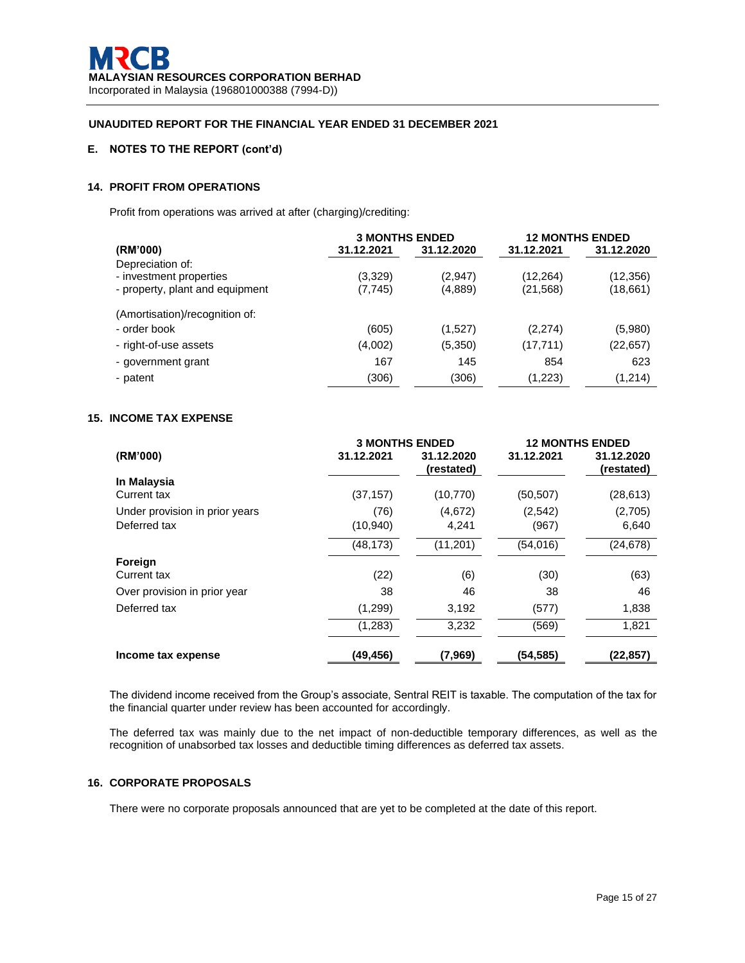# **E. NOTES TO THE REPORT (cont'd)**

# **14. PROFIT FROM OPERATIONS**

Profit from operations was arrived at after (charging)/crediting:

|                                                                                | <b>3 MONTHS ENDED</b> |                    |                        | <b>12 MONTHS ENDED</b> |
|--------------------------------------------------------------------------------|-----------------------|--------------------|------------------------|------------------------|
| (RM'000)                                                                       | 31.12.2021            | 31.12.2020         | 31.12.2021             | 31.12.2020             |
| Depreciation of:<br>- investment properties<br>- property, plant and equipment | (3,329)<br>(7, 745)   | (2,947)<br>(4,889) | (12, 264)<br>(21, 568) | (12, 356)<br>(18,661)  |
| (Amortisation)/recognition of:                                                 |                       |                    |                        |                        |
| - order book                                                                   | (605)                 | (1,527)            | (2,274)                | (5,980)                |
| - right-of-use assets                                                          | (4,002)               | (5,350)            | (17, 711)              | (22, 657)              |
| - government grant                                                             | 167                   | 145                | 854                    | 623                    |
| - patent                                                                       | (306)                 | (306)              | (1,223)                | (1,214)                |

## **15. INCOME TAX EXPENSE**

|                                | <b>3 MONTHS ENDED</b> |                          |            | <b>12 MONTHS ENDED</b>   |
|--------------------------------|-----------------------|--------------------------|------------|--------------------------|
| (RM'000)                       | 31.12.2021            | 31.12.2020<br>(restated) | 31.12.2021 | 31.12.2020<br>(restated) |
| In Malaysia                    |                       |                          |            |                          |
| Current tax                    | (37, 157)             | (10, 770)                | (50, 507)  | (28, 613)                |
| Under provision in prior years | (76)                  | (4,672)                  | (2,542)    | (2,705)                  |
| Deferred tax                   | (10,940)              | 4,241                    | (967)      | 6,640                    |
|                                | (48, 173)             | (11, 201)                | (54,016)   | (24, 678)                |
| Foreign                        |                       |                          |            |                          |
| Current tax                    | (22)                  | (6)                      | (30)       | (63)                     |
| Over provision in prior year   | 38                    | 46                       | 38         | 46                       |
| Deferred tax                   | (1,299)               | 3,192                    | (577)      | 1,838                    |
|                                | (1,283)               | 3,232                    | (569)      | 1,821                    |
| Income tax expense             | (49,456)              | (7,969)                  | (54,585)   | (22,857)                 |

The dividend income received from the Group's associate, Sentral REIT is taxable. The computation of the tax for the financial quarter under review has been accounted for accordingly.

The deferred tax was mainly due to the net impact of non-deductible temporary differences, as well as the recognition of unabsorbed tax losses and deductible timing differences as deferred tax assets.

## **16. CORPORATE PROPOSALS**

There were no corporate proposals announced that are yet to be completed at the date of this report.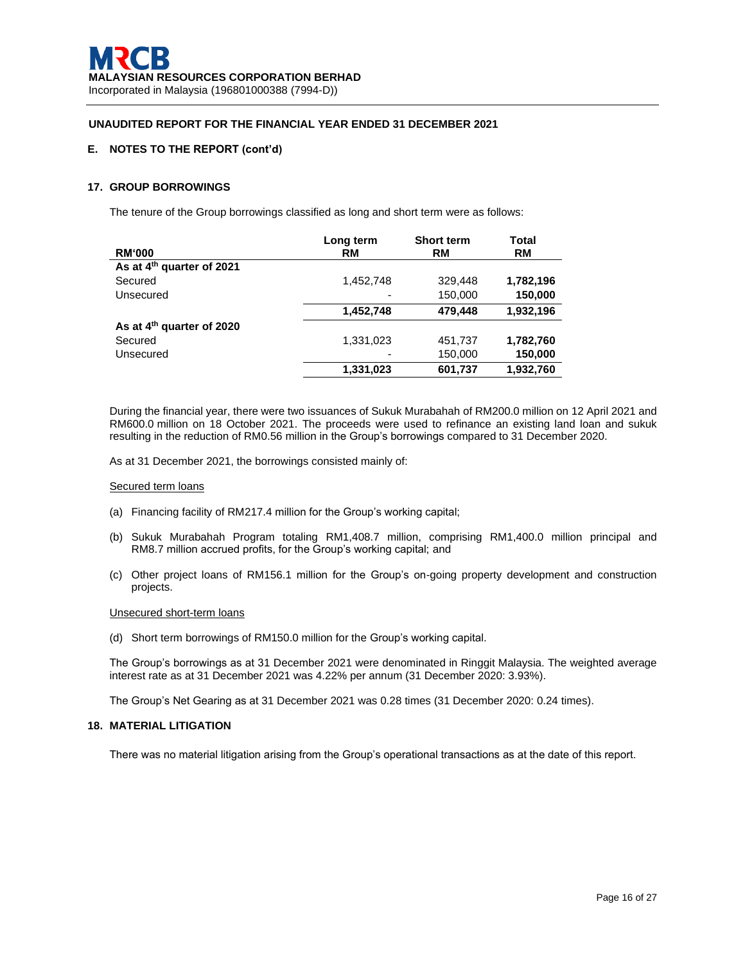# **E. NOTES TO THE REPORT (cont'd)**

## **17. GROUP BORROWINGS**

The tenure of the Group borrowings classified as long and short term were as follows:

|                                       | Long term | <b>Short term</b> | Total     |
|---------------------------------------|-----------|-------------------|-----------|
| <b>RM'000</b>                         | RM        | <b>RM</b>         | RM        |
| As at 4 <sup>th</sup> quarter of 2021 |           |                   |           |
| Secured                               | 1,452,748 | 329,448           | 1,782,196 |
| Unsecured                             |           | 150,000           | 150,000   |
|                                       | 1,452,748 | 479,448           | 1,932,196 |
| As at 4 <sup>th</sup> quarter of 2020 |           |                   |           |
| Secured                               | 1,331,023 | 451,737           | 1,782,760 |
| Unsecured                             |           | 150,000           | 150,000   |
|                                       | 1,331,023 | 601,737           | 1,932,760 |

During the financial year, there were two issuances of Sukuk Murabahah of RM200.0 million on 12 April 2021 and RM600.0 million on 18 October 2021. The proceeds were used to refinance an existing land loan and sukuk resulting in the reduction of RM0.56 million in the Group's borrowings compared to 31 December 2020.

As at 31 December 2021, the borrowings consisted mainly of:

#### Secured term loans

- (a) Financing facility of RM217.4 million for the Group's working capital;
- (b) Sukuk Murabahah Program totaling RM1,408.7 million, comprising RM1,400.0 million principal and RM8.7 million accrued profits, for the Group's working capital; and
- (c) Other project loans of RM156.1 million for the Group's on-going property development and construction projects.

#### Unsecured short-term loans

(d) Short term borrowings of RM150.0 million for the Group's working capital.

The Group's borrowings as at 31 December 2021 were denominated in Ringgit Malaysia. The weighted average interest rate as at 31 December 2021 was 4.22% per annum (31 December 2020: 3.93%).

The Group's Net Gearing as at 31 December 2021 was 0.28 times (31 December 2020: 0.24 times).

#### **18. MATERIAL LITIGATION**

There was no material litigation arising from the Group's operational transactions as at the date of this report.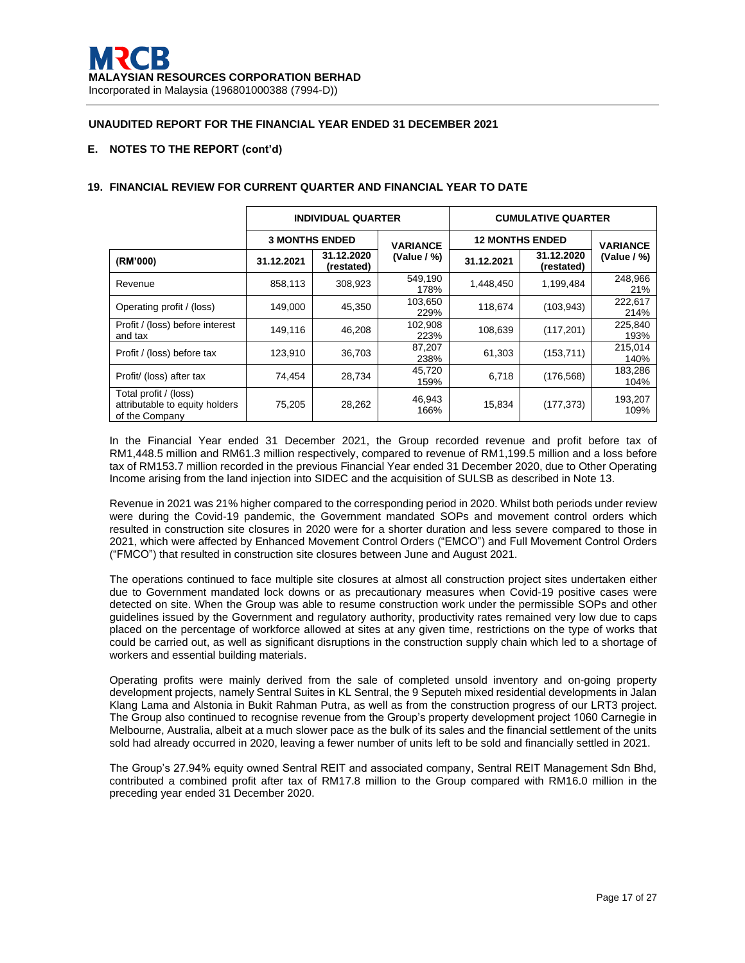# **E. NOTES TO THE REPORT (cont'd)**

|                                                                           | <b>INDIVIDUAL QUARTER</b> |                          |                 |                        | <b>CUMULATIVE QUARTER</b> |                 |
|---------------------------------------------------------------------------|---------------------------|--------------------------|-----------------|------------------------|---------------------------|-----------------|
|                                                                           | <b>3 MONTHS ENDED</b>     |                          | <b>VARIANCE</b> | <b>12 MONTHS ENDED</b> | <b>VARIANCE</b>           |                 |
| (RM'000)                                                                  | 31.12.2021                | 31.12.2020<br>(restated) | (Value / %)     | 31.12.2021             | 31.12.2020<br>(restated)  | (Value $/$ %)   |
| Revenue                                                                   | 858,113                   | 308,923                  | 549,190<br>178% | 1,448,450              | 1,199,484                 | 248,966<br>21%  |
| Operating profit / (loss)                                                 | 149,000                   | 45,350                   | 103,650<br>229% | 118,674                | (103, 943)                | 222,617<br>214% |
| Profit / (loss) before interest<br>and tax                                | 149,116                   | 46,208                   | 102,908<br>223% | 108,639                | (117, 201)                | 225,840<br>193% |
| Profit / (loss) before tax                                                | 123,910                   | 36,703                   | 87,207<br>238%  | 61.303                 | (153, 711)                | 215,014<br>140% |
| Profit/ (loss) after tax                                                  | 74,454                    | 28,734                   | 45,720<br>159%  | 6,718                  | (176, 568)                | 183,286<br>104% |
| Total profit / (loss)<br>attributable to equity holders<br>of the Company | 75,205                    | 28,262                   | 46,943<br>166%  | 15,834                 | (177, 373)                | 193,207<br>109% |

# **19. FINANCIAL REVIEW FOR CURRENT QUARTER AND FINANCIAL YEAR TO DATE**

In the Financial Year ended 31 December 2021, the Group recorded revenue and profit before tax of RM1,448.5 million and RM61.3 million respectively, compared to revenue of RM1,199.5 million and a loss before tax of RM153.7 million recorded in the previous Financial Year ended 31 December 2020, due to Other Operating Income arising from the land injection into SIDEC and the acquisition of SULSB as described in Note 13.

Revenue in 2021 was 21% higher compared to the corresponding period in 2020. Whilst both periods under review were during the Covid-19 pandemic, the Government mandated SOPs and movement control orders which resulted in construction site closures in 2020 were for a shorter duration and less severe compared to those in 2021, which were affected by Enhanced Movement Control Orders ("EMCO") and Full Movement Control Orders ("FMCO") that resulted in construction site closures between June and August 2021.

The operations continued to face multiple site closures at almost all construction project sites undertaken either due to Government mandated lock downs or as precautionary measures when Covid-19 positive cases were detected on site. When the Group was able to resume construction work under the permissible SOPs and other guidelines issued by the Government and regulatory authority, productivity rates remained very low due to caps placed on the percentage of workforce allowed at sites at any given time, restrictions on the type of works that could be carried out, as well as significant disruptions in the construction supply chain which led to a shortage of workers and essential building materials.

Operating profits were mainly derived from the sale of completed unsold inventory and on-going property development projects, namely Sentral Suites in KL Sentral, the 9 Seputeh mixed residential developments in Jalan Klang Lama and Alstonia in Bukit Rahman Putra, as well as from the construction progress of our LRT3 project. The Group also continued to recognise revenue from the Group's property development project 1060 Carnegie in Melbourne, Australia, albeit at a much slower pace as the bulk of its sales and the financial settlement of the units sold had already occurred in 2020, leaving a fewer number of units left to be sold and financially settled in 2021.

The Group's 27.94% equity owned Sentral REIT and associated company, Sentral REIT Management Sdn Bhd, contributed a combined profit after tax of RM17.8 million to the Group compared with RM16.0 million in the preceding year ended 31 December 2020.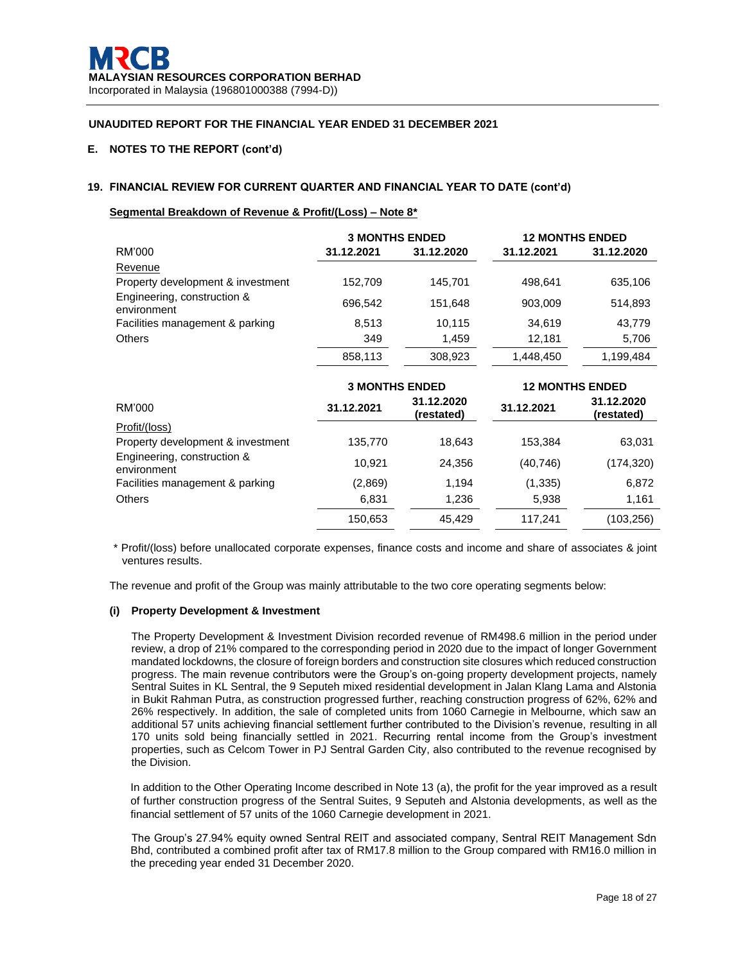# **E. NOTES TO THE REPORT (cont'd)**

# **19. FINANCIAL REVIEW FOR CURRENT QUARTER AND FINANCIAL YEAR TO DATE (cont'd)**

## **Segmental Breakdown of Revenue & Profit/(Loss) – Note 8\***

|                                            | <b>3 MONTHS ENDED</b> |            | <b>12 MONTHS ENDED</b> |            |
|--------------------------------------------|-----------------------|------------|------------------------|------------|
| RM'000                                     | 31.12.2021            | 31.12.2020 | 31.12.2021             | 31.12.2020 |
| Revenue                                    |                       |            |                        |            |
| Property development & investment          | 152,709               | 145,701    | 498,641                | 635,106    |
| Engineering, construction &<br>environment | 696,542               | 151,648    | 903,009                | 514,893    |
| Facilities management & parking            | 8,513                 | 10,115     | 34,619                 | 43,779     |
| <b>Others</b>                              | 349                   | 1,459      | 12,181                 | 5,706      |
|                                            | 858,113               | 308,923    | 1,448,450              | 1,199,484  |
|                                            | <b>3 MONTHS ENDED</b> |            | <b>12 MONTHS ENDED</b> |            |
|                                            |                       |            |                        |            |
| RM'000                                     | 31.12.2021            | 31.12.2020 | 31.12.2021             | 31.12.2020 |
| Profit/(loss)                              |                       | (restated) |                        | (restated) |
| Property development & investment          | 135,770               | 18,643     | 153,384                | 63,031     |
| Engineering, construction &<br>environment | 10,921                | 24,356     | (40, 746)              | (174, 320) |
| Facilities management & parking            | (2,869)               | 1,194      | (1, 335)               | 6,872      |
| <b>Others</b>                              | 6,831                 | 1,236      | 5,938                  | 1,161      |

\* Profit/(loss) before unallocated corporate expenses, finance costs and income and share of associates & joint ventures results.

The revenue and profit of the Group was mainly attributable to the two core operating segments below:

#### **(i) Property Development & Investment**

The Property Development & Investment Division recorded revenue of RM498.6 million in the period under review, a drop of 21% compared to the corresponding period in 2020 due to the impact of longer Government mandated lockdowns, the closure of foreign borders and construction site closures which reduced construction progress. The main revenue contributors were the Group's on-going property development projects, namely Sentral Suites in KL Sentral, the 9 Seputeh mixed residential development in Jalan Klang Lama and Alstonia in Bukit Rahman Putra, as construction progressed further, reaching construction progress of 62%, 62% and 26% respectively. In addition, the sale of completed units from 1060 Carnegie in Melbourne, which saw an additional 57 units achieving financial settlement further contributed to the Division's revenue, resulting in all 170 units sold being financially settled in 2021. Recurring rental income from the Group's investment properties, such as Celcom Tower in PJ Sentral Garden City, also contributed to the revenue recognised by the Division.

In addition to the Other Operating Income described in Note 13 (a), the profit for the year improved as a result of further construction progress of the Sentral Suites, 9 Seputeh and Alstonia developments, as well as the financial settlement of 57 units of the 1060 Carnegie development in 2021.

The Group's 27.94% equity owned Sentral REIT and associated company, Sentral REIT Management Sdn Bhd, contributed a combined profit after tax of RM17.8 million to the Group compared with RM16.0 million in the preceding year ended 31 December 2020.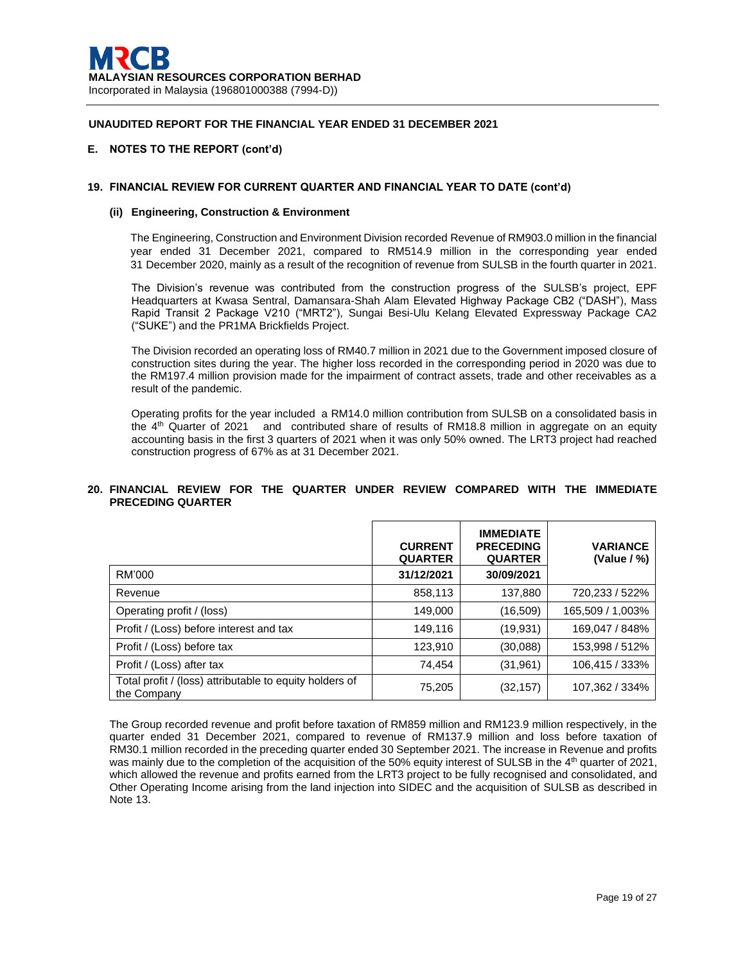## **E. NOTES TO THE REPORT (cont'd)**

## **19. FINANCIAL REVIEW FOR CURRENT QUARTER AND FINANCIAL YEAR TO DATE (cont'd)**

#### **(ii) Engineering, Construction & Environment**

The Engineering, Construction and Environment Division recorded Revenue of RM903.0 million in the financial year ended 31 December 2021, compared to RM514.9 million in the corresponding year ended 31 December 2020, mainly as a result of the recognition of revenue from SULSB in the fourth quarter in 2021.

The Division's revenue was contributed from the construction progress of the SULSB's project, EPF Headquarters at Kwasa Sentral, Damansara-Shah Alam Elevated Highway Package CB2 ("DASH"), Mass Rapid Transit 2 Package V210 ("MRT2"), Sungai Besi-Ulu Kelang Elevated Expressway Package CA2 ("SUKE") and the PR1MA Brickfields Project.

The Division recorded an operating loss of RM40.7 million in 2021 due to the Government imposed closure of construction sites during the year. The higher loss recorded in the corresponding period in 2020 was due to the RM197.4 million provision made for the impairment of contract assets, trade and other receivables as a result of the pandemic.

Operating profits for the year included a RM14.0 million contribution from SULSB on a consolidated basis in the 4th Quarter of 2021 and contributed share of results of RM18.8 million in aggregate on an equity accounting basis in the first 3 quarters of 2021 when it was only 50% owned. The LRT3 project had reached construction progress of 67% as at 31 December 2021.

## **20. FINANCIAL REVIEW FOR THE QUARTER UNDER REVIEW COMPARED WITH THE IMMEDIATE PRECEDING QUARTER**

|                                                                        | <b>CURRENT</b><br><b>QUARTER</b> | <b>IMMEDIATE</b><br><b>PRECEDING</b><br><b>QUARTER</b> | <b>VARIANCE</b><br>(Value / %) |
|------------------------------------------------------------------------|----------------------------------|--------------------------------------------------------|--------------------------------|
| RM'000                                                                 | 31/12/2021                       | 30/09/2021                                             |                                |
| Revenue                                                                | 858,113                          | 137,880                                                | 720,233 / 522%                 |
| Operating profit / (loss)                                              | 149,000                          | (16, 509)                                              | 165,509 / 1,003%               |
| Profit / (Loss) before interest and tax                                | 149,116                          | (19, 931)                                              | 169,047 / 848%                 |
| Profit / (Loss) before tax                                             | 123,910                          | (30,088)                                               | 153,998 / 512%                 |
| Profit / (Loss) after tax                                              | 74,454                           | (31, 961)                                              | 106,415 / 333%                 |
| Total profit / (loss) attributable to equity holders of<br>the Company | 75,205                           | (32, 157)                                              | 107,362 / 334%                 |

The Group recorded revenue and profit before taxation of RM859 million and RM123.9 million respectively, in the quarter ended 31 December 2021, compared to revenue of RM137.9 million and loss before taxation of RM30.1 million recorded in the preceding quarter ended 30 September 2021. The increase in Revenue and profits was mainly due to the completion of the acquisition of the 50% equity interest of SULSB in the 4<sup>th</sup> quarter of 2021, which allowed the revenue and profits earned from the LRT3 project to be fully recognised and consolidated, and Other Operating Income arising from the land injection into SIDEC and the acquisition of SULSB as described in Note 13.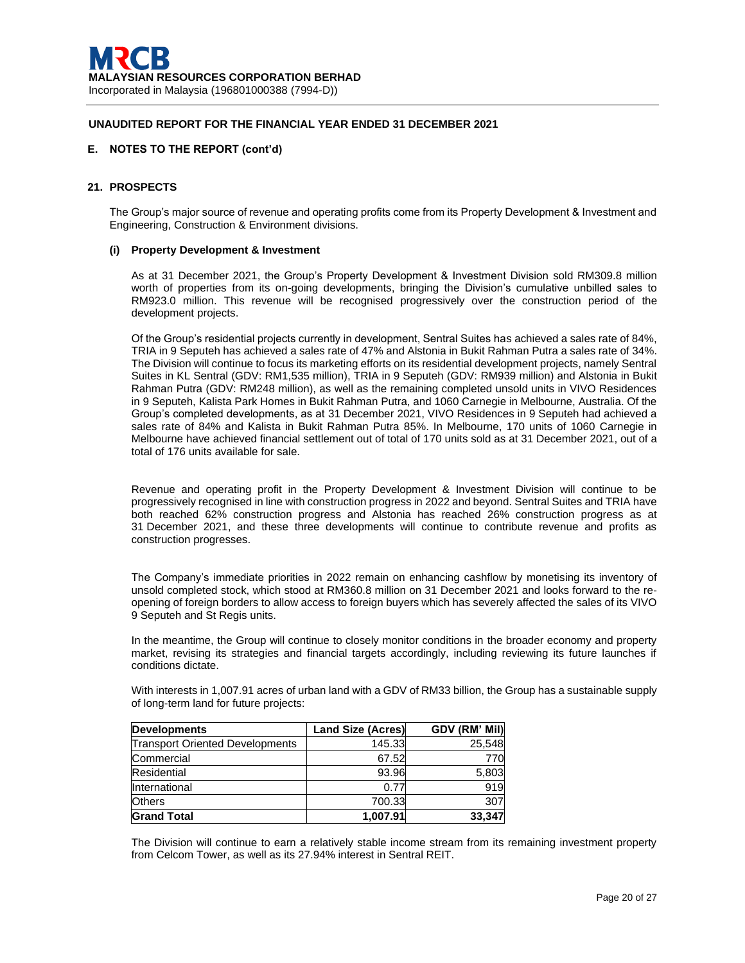## **E. NOTES TO THE REPORT (cont'd)**

# **21. PROSPECTS**

The Group's major source of revenue and operating profits come from its Property Development & Investment and Engineering, Construction & Environment divisions.

#### **(i) Property Development & Investment**

As at 31 December 2021, the Group's Property Development & Investment Division sold RM309.8 million worth of properties from its on-going developments, bringing the Division's cumulative unbilled sales to RM923.0 million. This revenue will be recognised progressively over the construction period of the development projects.

Of the Group's residential projects currently in development, Sentral Suites has achieved a sales rate of 84%, TRIA in 9 Seputeh has achieved a sales rate of 47% and Alstonia in Bukit Rahman Putra a sales rate of 34%. The Division will continue to focus its marketing efforts on its residential development projects, namely Sentral Suites in KL Sentral (GDV: RM1,535 million), TRIA in 9 Seputeh (GDV: RM939 million) and Alstonia in Bukit Rahman Putra (GDV: RM248 million), as well as the remaining completed unsold units in VIVO Residences in 9 Seputeh, Kalista Park Homes in Bukit Rahman Putra, and 1060 Carnegie in Melbourne, Australia. Of the Group's completed developments, as at 31 December 2021, VIVO Residences in 9 Seputeh had achieved a sales rate of 84% and Kalista in Bukit Rahman Putra 85%. In Melbourne, 170 units of 1060 Carnegie in Melbourne have achieved financial settlement out of total of 170 units sold as at 31 December 2021, out of a total of 176 units available for sale.

Revenue and operating profit in the Property Development & Investment Division will continue to be progressively recognised in line with construction progress in 2022 and beyond. Sentral Suites and TRIA have both reached 62% construction progress and Alstonia has reached 26% construction progress as at 31 December 2021, and these three developments will continue to contribute revenue and profits as construction progresses.

The Company's immediate priorities in 2022 remain on enhancing cashflow by monetising its inventory of unsold completed stock, which stood at RM360.8 million on 31 December 2021 and looks forward to the reopening of foreign borders to allow access to foreign buyers which has severely affected the sales of its VIVO 9 Seputeh and St Regis units.

In the meantime, the Group will continue to closely monitor conditions in the broader economy and property market, revising its strategies and financial targets accordingly, including reviewing its future launches if conditions dictate.

With interests in 1,007.91 acres of urban land with a GDV of RM33 billion, the Group has a sustainable supply of long-term land for future projects:

| <b>Developments</b>                    | <b>Land Size (Acres)</b> | GDV (RM' Mil) |
|----------------------------------------|--------------------------|---------------|
| <b>Transport Oriented Developments</b> | 145.33                   | 25.548        |
| Commercial                             | 67.52                    | 770           |
| Residential                            | 93.96                    | 5,803         |
| International                          | 0.77                     | 919           |
| <b>Others</b>                          | 700.33                   | 307           |
| <b>Grand Total</b>                     | 1,007.91                 | 33,347        |

The Division will continue to earn a relatively stable income stream from its remaining investment property from Celcom Tower, as well as its 27.94% interest in Sentral REIT.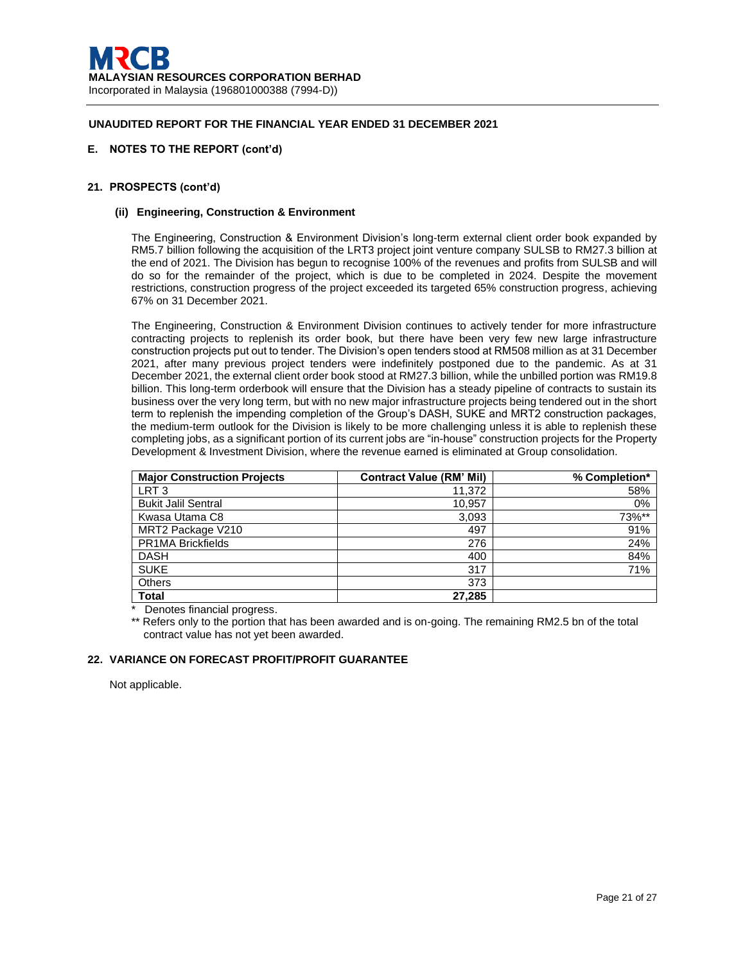## **E. NOTES TO THE REPORT (cont'd)**

## **21. PROSPECTS (cont'd)**

### **(ii) Engineering, Construction & Environment**

The Engineering, Construction & Environment Division's long-term external client order book expanded by RM5.7 billion following the acquisition of the LRT3 project joint venture company SULSB to RM27.3 billion at the end of 2021. The Division has begun to recognise 100% of the revenues and profits from SULSB and will do so for the remainder of the project, which is due to be completed in 2024. Despite the movement restrictions, construction progress of the project exceeded its targeted 65% construction progress, achieving 67% on 31 December 2021.

The Engineering, Construction & Environment Division continues to actively tender for more infrastructure contracting projects to replenish its order book, but there have been very few new large infrastructure construction projects put out to tender. The Division's open tenders stood at RM508 million as at 31 December 2021, after many previous project tenders were indefinitely postponed due to the pandemic. As at 31 December 2021, the external client order book stood at RM27.3 billion, while the unbilled portion was RM19.8 billion. This long-term orderbook will ensure that the Division has a steady pipeline of contracts to sustain its business over the very long term, but with no new major infrastructure projects being tendered out in the short term to replenish the impending completion of the Group's DASH, SUKE and MRT2 construction packages, the medium-term outlook for the Division is likely to be more challenging unless it is able to replenish these completing jobs, as a significant portion of its current jobs are "in-house" construction projects for the Property Development & Investment Division, where the revenue earned is eliminated at Group consolidation.

| <b>Major Construction Projects</b> | <b>Contract Value (RM' Mil)</b> | % Completion* |
|------------------------------------|---------------------------------|---------------|
| LRT <sub>3</sub>                   | 11,372                          | 58%           |
| <b>Bukit Jalil Sentral</b>         | 10,957                          | 0%            |
| Kwasa Utama C8                     | 3,093                           | 73%**         |
| MRT2 Package V210                  | 497                             | 91%           |
| <b>PR1MA Brickfields</b>           | 276                             | 24%           |
| <b>DASH</b>                        | 400                             | 84%           |
| <b>SUKE</b>                        | 317                             | 71%           |
| <b>Others</b>                      | 373                             |               |
| <b>Total</b>                       | 27,285                          |               |

\* Denotes financial progress.

\*\* Refers only to the portion that has been awarded and is on-going. The remaining RM2.5 bn of the total contract value has not yet been awarded.

### **22. VARIANCE ON FORECAST PROFIT/PROFIT GUARANTEE**

Not applicable.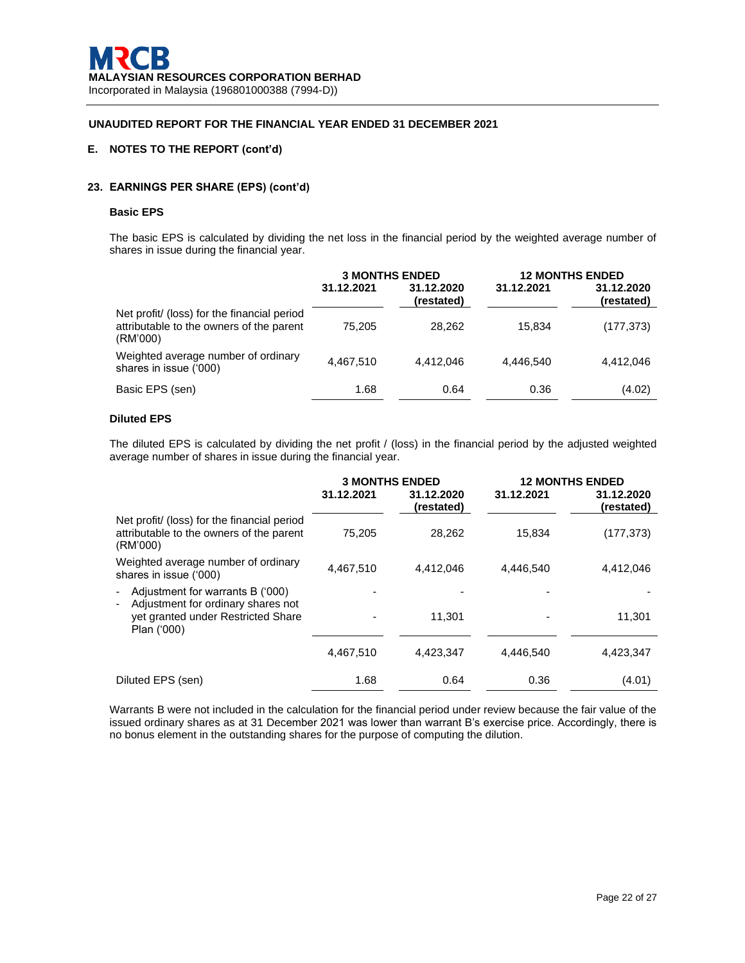# **E. NOTES TO THE REPORT (cont'd)**

# **23. EARNINGS PER SHARE (EPS) (cont'd)**

#### **Basic EPS**

The basic EPS is calculated by dividing the net loss in the financial period by the weighted average number of shares in issue during the financial year.

|                                                                                                     | <b>3 MONTHS ENDED</b> |                          | <b>12 MONTHS ENDED</b> |                          |
|-----------------------------------------------------------------------------------------------------|-----------------------|--------------------------|------------------------|--------------------------|
|                                                                                                     | 31.12.2021            | 31.12.2020<br>(restated) | 31.12.2021             | 31.12.2020<br>(restated) |
| Net profit/ (loss) for the financial period<br>attributable to the owners of the parent<br>(RM'000) | 75.205                | 28,262                   | 15.834                 | (177, 373)               |
| Weighted average number of ordinary<br>shares in issue ('000)                                       | 4,467,510             | 4.412.046                | 4.446.540              | 4,412,046                |
| Basic EPS (sen)                                                                                     | 1.68                  | 0.64                     | 0.36                   | (4.02)                   |

# **Diluted EPS**

The diluted EPS is calculated by dividing the net profit / (loss) in the financial period by the adjusted weighted average number of shares in issue during the financial year.

|                                                                                                     | 31.12.2021 | <b>3 MONTHS ENDED</b><br>31.12.2020<br>(restated) | 31.12.2021 | <b>12 MONTHS ENDED</b><br>31.12.2020<br>(restated) |
|-----------------------------------------------------------------------------------------------------|------------|---------------------------------------------------|------------|----------------------------------------------------|
| Net profit/ (loss) for the financial period<br>attributable to the owners of the parent<br>(RM'000) | 75,205     | 28,262                                            | 15,834     | (177,373)                                          |
| Weighted average number of ordinary<br>shares in issue ('000)                                       | 4.467.510  | 4.412.046                                         | 4.446.540  | 4.412.046                                          |
| Adjustment for warrants B ('000)<br>$\blacksquare$<br>Adjustment for ordinary shares not<br>-       |            |                                                   |            |                                                    |
| yet granted under Restricted Share<br>Plan ('000)                                                   |            | 11,301                                            |            | 11,301                                             |
|                                                                                                     | 4,467,510  | 4,423,347                                         | 4,446,540  | 4,423,347                                          |
| Diluted EPS (sen)                                                                                   | 1.68       | 0.64                                              | 0.36       | (4.01)                                             |

Warrants B were not included in the calculation for the financial period under review because the fair value of the issued ordinary shares as at 31 December 2021 was lower than warrant B's exercise price. Accordingly, there is no bonus element in the outstanding shares for the purpose of computing the dilution.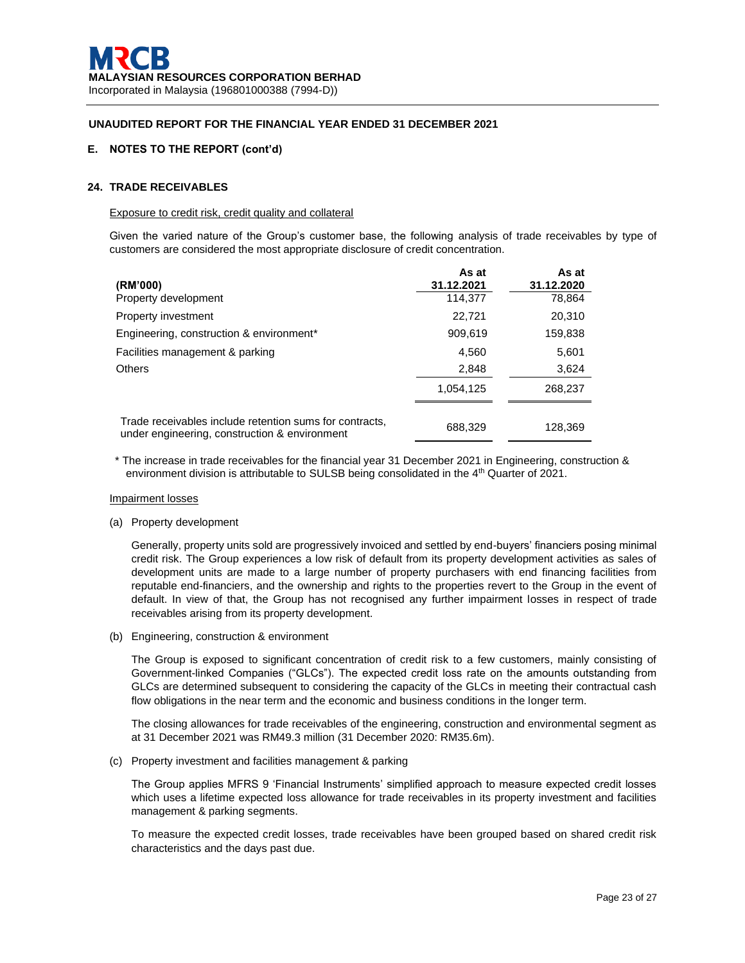## **E. NOTES TO THE REPORT (cont'd)**

## **24. TRADE RECEIVABLES**

#### Exposure to credit risk, credit quality and collateral

Given the varied nature of the Group's customer base, the following analysis of trade receivables by type of customers are considered the most appropriate disclosure of credit concentration.

| (RM'000)                                                                                                 | As at<br>31.12.2021 | As at<br>31.12.2020 |
|----------------------------------------------------------------------------------------------------------|---------------------|---------------------|
| Property development                                                                                     | 114,377             | 78,864              |
| <b>Property investment</b>                                                                               | 22,721              | 20,310              |
| Engineering, construction & environment*                                                                 | 909,619             | 159,838             |
| Facilities management & parking                                                                          | 4,560               | 5,601               |
| <b>Others</b>                                                                                            | 2,848               | 3,624               |
|                                                                                                          | 1,054,125           | 268,237             |
| Trade receivables include retention sums for contracts,<br>under engineering, construction & environment | 688,329             | 128,369             |

\* The increase in trade receivables for the financial year 31 December 2021 in Engineering, construction & environment division is attributable to SULSB being consolidated in the 4<sup>th</sup> Quarter of 2021.

### Impairment losses

(a) Property development

Generally, property units sold are progressively invoiced and settled by end-buyers' financiers posing minimal credit risk. The Group experiences a low risk of default from its property development activities as sales of development units are made to a large number of property purchasers with end financing facilities from reputable end-financiers, and the ownership and rights to the properties revert to the Group in the event of default. In view of that, the Group has not recognised any further impairment losses in respect of trade receivables arising from its property development.

(b) Engineering, construction & environment

The Group is exposed to significant concentration of credit risk to a few customers, mainly consisting of Government-linked Companies ("GLCs"). The expected credit loss rate on the amounts outstanding from GLCs are determined subsequent to considering the capacity of the GLCs in meeting their contractual cash flow obligations in the near term and the economic and business conditions in the longer term.

The closing allowances for trade receivables of the engineering, construction and environmental segment as at 31 December 2021 was RM49.3 million (31 December 2020: RM35.6m).

(c) Property investment and facilities management & parking

The Group applies MFRS 9 'Financial Instruments' simplified approach to measure expected credit losses which uses a lifetime expected loss allowance for trade receivables in its property investment and facilities management & parking segments.

To measure the expected credit losses, trade receivables have been grouped based on shared credit risk characteristics and the days past due.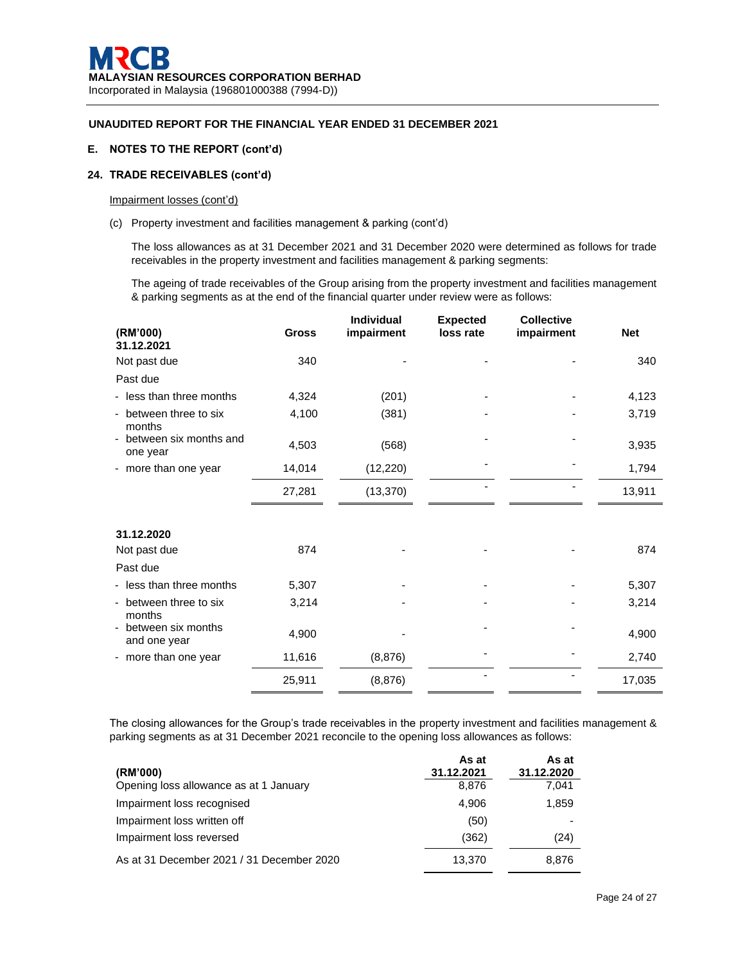# **E. NOTES TO THE REPORT (cont'd)**

# **24. TRADE RECEIVABLES (cont'd)**

# Impairment losses (cont'd)

(c) Property investment and facilities management & parking (cont'd)

The loss allowances as at 31 December 2021 and 31 December 2020 were determined as follows for trade receivables in the property investment and facilities management & parking segments:

The ageing of trade receivables of the Group arising from the property investment and facilities management & parking segments as at the end of the financial quarter under review were as follows:

| (RM'000)<br>31.12.2021                                     | <b>Gross</b> | <b>Individual</b><br>impairment | <b>Expected</b><br>loss rate | <b>Collective</b><br>impairment | <b>Net</b> |
|------------------------------------------------------------|--------------|---------------------------------|------------------------------|---------------------------------|------------|
| Not past due                                               | 340          |                                 |                              |                                 | 340        |
| Past due                                                   |              |                                 |                              |                                 |            |
| - less than three months                                   | 4,324        | (201)                           |                              |                                 | 4,123      |
| between three to six<br>$\overline{\phantom{a}}$<br>months | 4,100        | (381)                           |                              |                                 | 3,719      |
| between six months and<br>$\blacksquare$<br>one year       | 4,503        | (568)                           |                              |                                 | 3,935      |
| - more than one year                                       | 14,014       | (12, 220)                       |                              |                                 | 1,794      |
|                                                            | 27,281       | (13, 370)                       |                              |                                 | 13,911     |
|                                                            |              |                                 |                              |                                 |            |
| 31.12.2020                                                 |              |                                 |                              |                                 |            |
| Not past due                                               | 874          |                                 |                              |                                 | 874        |
| Past due                                                   |              |                                 |                              |                                 |            |
| - less than three months                                   | 5,307        |                                 |                              |                                 | 5,307      |
| between three to six<br>$\overline{\phantom{0}}$<br>months | 3,214        |                                 |                              |                                 | 3,214      |
| between six months<br>and one year                         | 4,900        |                                 |                              |                                 | 4,900      |
| - more than one year                                       | 11,616       | (8, 876)                        |                              |                                 | 2,740      |
|                                                            | 25,911       | (8, 876)                        |                              |                                 | 17,035     |

The closing allowances for the Group's trade receivables in the property investment and facilities management & parking segments as at 31 December 2021 reconcile to the opening loss allowances as follows:

| (RM'000)                                  | As at<br>31.12.2021 | As at<br>31.12.2020 |
|-------------------------------------------|---------------------|---------------------|
| Opening loss allowance as at 1 January    | 8.876               | 7.041               |
| Impairment loss recognised                | 4.906               | 1,859               |
| Impairment loss written off               | (50)                |                     |
| Impairment loss reversed                  | (362)               | (24)                |
| As at 31 December 2021 / 31 December 2020 | 13.370              | 8.876               |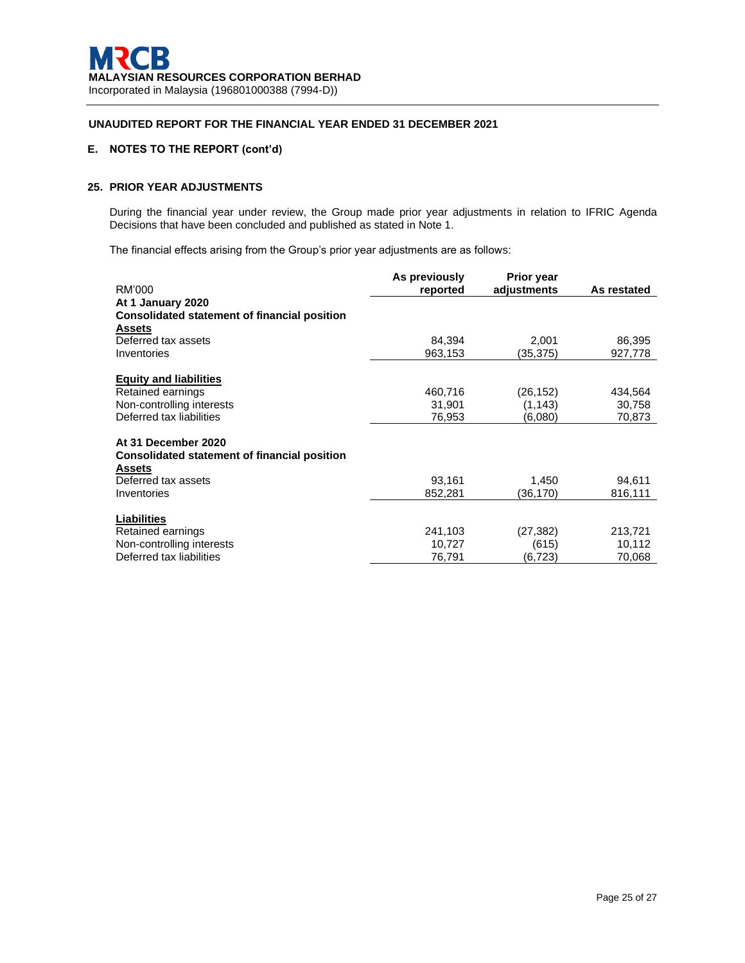# **E. NOTES TO THE REPORT (cont'd)**

# **25. PRIOR YEAR ADJUSTMENTS**

During the financial year under review, the Group made prior year adjustments in relation to IFRIC Agenda Decisions that have been concluded and published as stated in Note 1.

The financial effects arising from the Group's prior year adjustments are as follows:

| RM'000                                                        | As previously<br>reported | <b>Prior year</b><br>adjustments | As restated |
|---------------------------------------------------------------|---------------------------|----------------------------------|-------------|
| At 1 January 2020                                             |                           |                                  |             |
| <b>Consolidated statement of financial position</b>           |                           |                                  |             |
| Assets                                                        |                           |                                  |             |
| Deferred tax assets                                           | 84,394                    | 2,001                            | 86,395      |
| Inventories                                                   | 963,153                   | (35, 375)                        | 927,778     |
|                                                               |                           |                                  |             |
| <b>Equity and liabilities</b>                                 |                           |                                  |             |
| Retained earnings                                             | 460,716                   | (26,152)                         | 434,564     |
| Non-controlling interests                                     | 31,901                    | (1, 143)                         | 30,758      |
| Deferred tax liabilities                                      | 76,953                    | (6,080)                          | 70,873      |
|                                                               |                           |                                  |             |
| At 31 December 2020                                           |                           |                                  |             |
| <b>Consolidated statement of financial position</b><br>Assets |                           |                                  |             |
| Deferred tax assets                                           | 93.161                    | 1,450                            | 94,611      |
| Inventories                                                   | 852,281                   | (36,170)                         | 816,111     |
|                                                               |                           |                                  |             |
| <b>Liabilities</b>                                            |                           |                                  |             |
| Retained earnings                                             | 241,103                   | (27, 382)                        | 213,721     |
| Non-controlling interests                                     | 10,727                    | (615)                            | 10,112      |
| Deferred tax liabilities                                      | 76,791                    | (6.723)                          | 70,068      |
|                                                               |                           |                                  |             |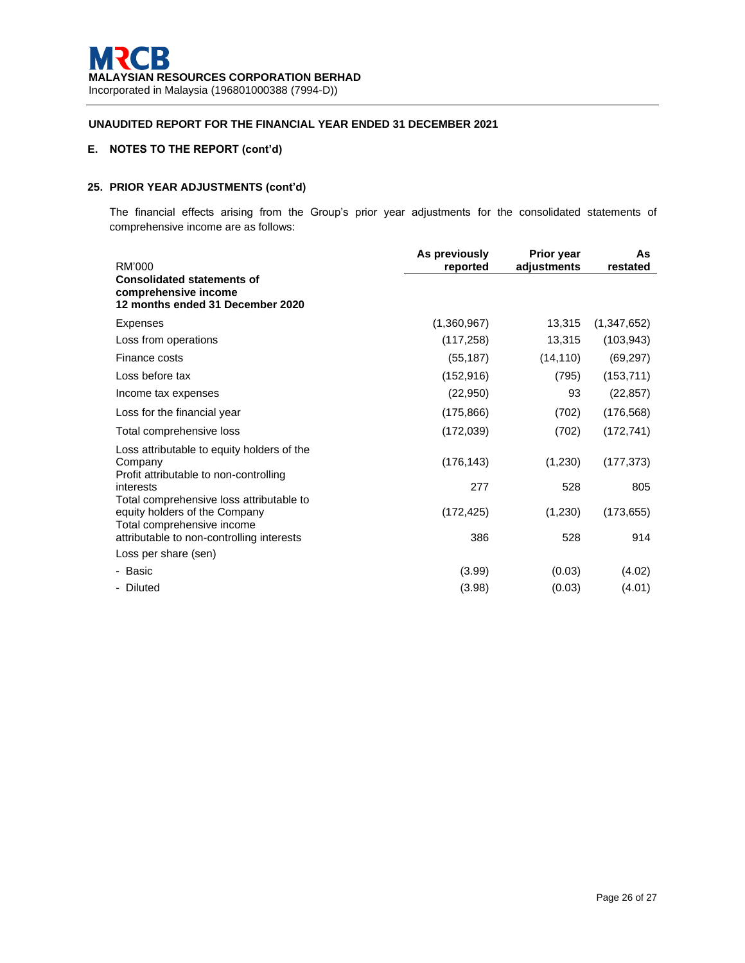# **E. NOTES TO THE REPORT (cont'd)**

# **25. PRIOR YEAR ADJUSTMENTS (cont'd)**

The financial effects arising from the Group's prior year adjustments for the consolidated statements of comprehensive income are as follows:

|                                                                                                         | As previously | <b>Prior year</b> | As          |
|---------------------------------------------------------------------------------------------------------|---------------|-------------------|-------------|
| RM'000                                                                                                  | reported      | adjustments       | restated    |
| <b>Consolidated statements of</b><br>comprehensive income<br>12 months ended 31 December 2020           |               |                   |             |
| Expenses                                                                                                | (1,360,967)   | 13,315            | (1,347,652) |
| Loss from operations                                                                                    | (117, 258)    | 13,315            | (103, 943)  |
| Finance costs                                                                                           | (55, 187)     | (14, 110)         | (69, 297)   |
| Loss before tax                                                                                         | (152, 916)    | (795)             | (153, 711)  |
| Income tax expenses                                                                                     | (22,950)      | 93                | (22, 857)   |
| Loss for the financial year                                                                             | (175, 866)    | (702)             | (176, 568)  |
| Total comprehensive loss                                                                                | (172, 039)    | (702)             | (172, 741)  |
| Loss attributable to equity holders of the<br>Company<br>Profit attributable to non-controlling         | (176, 143)    | (1,230)           | (177, 373)  |
| interests                                                                                               | 277           | 528               | 805         |
| Total comprehensive loss attributable to<br>equity holders of the Company<br>Total comprehensive income | (172, 425)    | (1,230)           | (173, 655)  |
| attributable to non-controlling interests                                                               | 386           | 528               | 914         |
| Loss per share (sen)                                                                                    |               |                   |             |
| - Basic                                                                                                 | (3.99)        | (0.03)            | (4.02)      |
| - Diluted                                                                                               | (3.98)        | (0.03)            | (4.01)      |